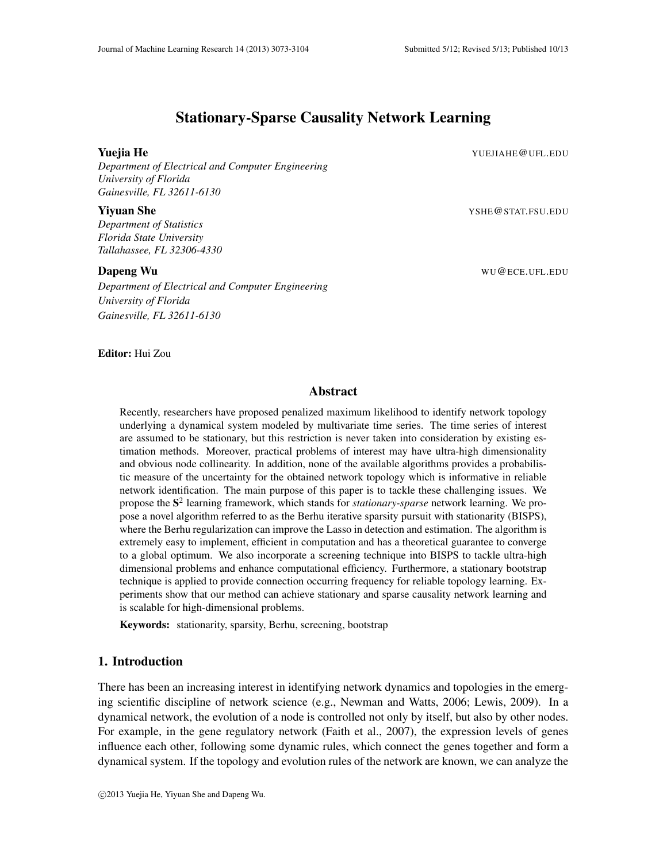# Stationary-Sparse Causality Network Learning

**Yuejia He** YUEJIAHE @UFL.EDU

*Department of Electrical and Computer Engineering University of Florida Gainesville, FL 32611-6130*

#### **Yiyuan She** YSHE@STAT.FSU.EDU

*Department of Statistics Florida State University Tallahassee, FL 32306-4330*

*Department of Electrical and Computer Engineering University of Florida Gainesville, FL 32611-6130*

**Dapeng Wu** WU @ECE.UFL.EDU

Editor: Hui Zou

## Abstract

Recently, researchers have proposed penalized maximum likelihood to identify network topology underlying a dynamical system modeled by multivariate time series. The time series of interest are assumed to be stationary, but this restriction is never taken into consideration by existing estimation methods. Moreover, practical problems of interest may have ultra-high dimensionality and obvious node collinearity. In addition, none of the available algorithms provides a probabilistic measure of the uncertainty for the obtained network topology which is informative in reliable network identification. The main purpose of this paper is to tackle these challenging issues. We propose the S 2 learning framework, which stands for *stationary-sparse* network learning. We propose a novel algorithm referred to as the Berhu iterative sparsity pursuit with stationarity (BISPS), where the Berhu regularization can improve the Lasso in detection and estimation. The algorithm is extremely easy to implement, efficient in computation and has a theoretical guarantee to converge to a global optimum. We also incorporate a screening technique into BISPS to tackle ultra-high dimensional problems and enhance computational efficiency. Furthermore, a stationary bootstrap technique is applied to provide connection occurring frequency for reliable topology learning. Experiments show that our method can achieve stationary and sparse causality network learning and is scalable for high-dimensional problems.

Keywords: stationarity, sparsity, Berhu, screening, bootstrap

## 1. Introduction

There has been an increasing interest in identifying network dynamics and topologies in the emerging scientific discipline of network science (e.g., Newman and Watts, 2006; Lewis, 2009). In a dynamical network, the evolution of a node is controlled not only by itself, but also by other nodes. For example, in the gene regulatory network (Faith et al., 2007), the expression levels of genes influence each other, following some dynamic rules, which connect the genes together and form a dynamical system. If the topology and evolution rules of the network are known, we can analyze the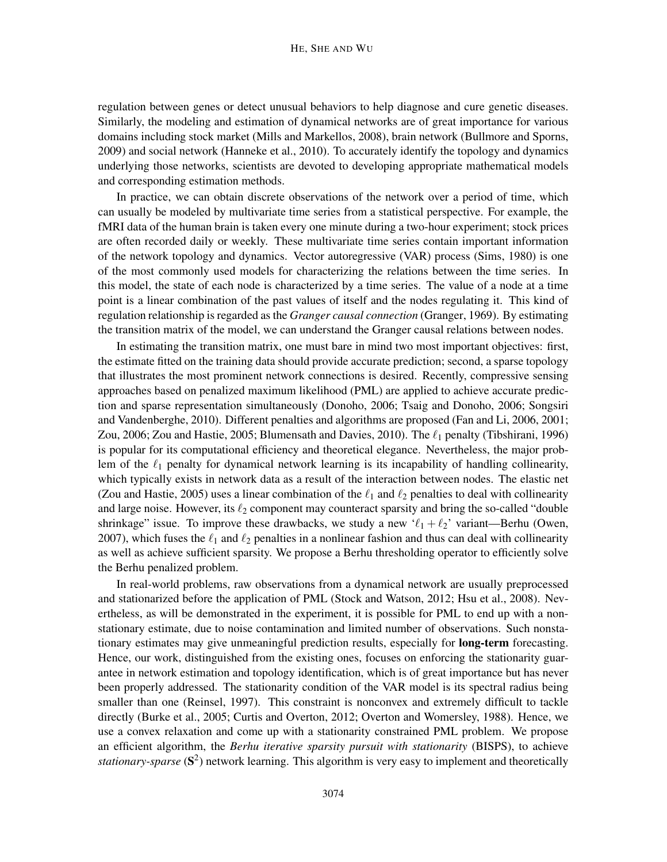regulation between genes or detect unusual behaviors to help diagnose and cure genetic diseases. Similarly, the modeling and estimation of dynamical networks are of great importance for various domains including stock market (Mills and Markellos, 2008), brain network (Bullmore and Sporns, 2009) and social network (Hanneke et al., 2010). To accurately identify the topology and dynamics underlying those networks, scientists are devoted to developing appropriate mathematical models and corresponding estimation methods.

In practice, we can obtain discrete observations of the network over a period of time, which can usually be modeled by multivariate time series from a statistical perspective. For example, the fMRI data of the human brain is taken every one minute during a two-hour experiment; stock prices are often recorded daily or weekly. These multivariate time series contain important information of the network topology and dynamics. Vector autoregressive (VAR) process (Sims, 1980) is one of the most commonly used models for characterizing the relations between the time series. In this model, the state of each node is characterized by a time series. The value of a node at a time point is a linear combination of the past values of itself and the nodes regulating it. This kind of regulation relationship is regarded as the *Granger causal connection* (Granger, 1969). By estimating the transition matrix of the model, we can understand the Granger causal relations between nodes.

In estimating the transition matrix, one must bare in mind two most important objectives: first, the estimate fitted on the training data should provide accurate prediction; second, a sparse topology that illustrates the most prominent network connections is desired. Recently, compressive sensing approaches based on penalized maximum likelihood (PML) are applied to achieve accurate prediction and sparse representation simultaneously (Donoho, 2006; Tsaig and Donoho, 2006; Songsiri and Vandenberghe, 2010). Different penalties and algorithms are proposed (Fan and Li, 2006, 2001; Zou, 2006; Zou and Hastie, 2005; Blumensath and Davies, 2010). The  $\ell_1$  penalty (Tibshirani, 1996) is popular for its computational efficiency and theoretical elegance. Nevertheless, the major problem of the  $\ell_1$  penalty for dynamical network learning is its incapability of handling collinearity, which typically exists in network data as a result of the interaction between nodes. The elastic net (Zou and Hastie, 2005) uses a linear combination of the  $\ell_1$  and  $\ell_2$  penalties to deal with collinearity and large noise. However, its  $\ell_2$  component may counteract sparsity and bring the so-called "double" shrinkage" issue. To improve these drawbacks, we study a new ' $\ell_1 + \ell_2$ ' variant—Berhu (Owen, 2007), which fuses the  $\ell_1$  and  $\ell_2$  penalties in a nonlinear fashion and thus can deal with collinearity as well as achieve sufficient sparsity. We propose a Berhu thresholding operator to efficiently solve the Berhu penalized problem.

In real-world problems, raw observations from a dynamical network are usually preprocessed and stationarized before the application of PML (Stock and Watson, 2012; Hsu et al., 2008). Nevertheless, as will be demonstrated in the experiment, it is possible for PML to end up with a nonstationary estimate, due to noise contamination and limited number of observations. Such nonstationary estimates may give unmeaningful prediction results, especially for long-term forecasting. Hence, our work, distinguished from the existing ones, focuses on enforcing the stationarity guarantee in network estimation and topology identification, which is of great importance but has never been properly addressed. The stationarity condition of the VAR model is its spectral radius being smaller than one (Reinsel, 1997). This constraint is nonconvex and extremely difficult to tackle directly (Burke et al., 2005; Curtis and Overton, 2012; Overton and Womersley, 1988). Hence, we use a convex relaxation and come up with a stationarity constrained PML problem. We propose an efficient algorithm, the *Berhu iterative sparsity pursuit with stationarity* (BISPS), to achieve stationary-sparse (S<sup>2</sup>) network learning. This algorithm is very easy to implement and theoretically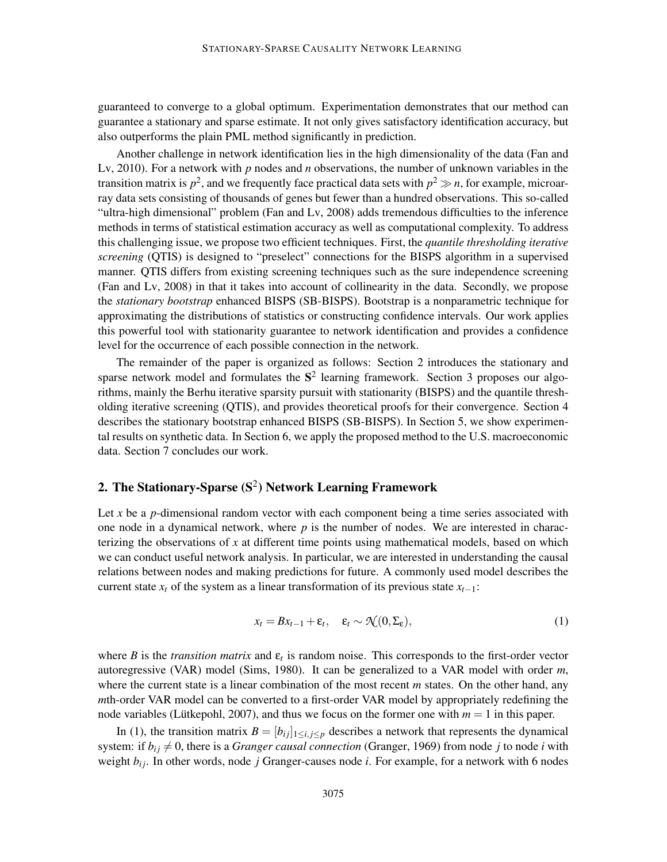guaranteed to converge to a global optimum. Experimentation demonstrates that our method can guarantee a stationary and sparse estimate. It not only gives satisfactory identification accuracy, but also outperforms the plain PML method significantly in prediction.

Another challenge in network identification lies in the high dimensionality of the data (Fan and Lv, 2010). For a network with *p* nodes and *n* observations, the number of unknown variables in the transition matrix is  $p^2$ , and we frequently face practical data sets with  $p^2 \gg n$ , for example, microarray data sets consisting of thousands of genes but fewer than a hundred observations. This so-called "ultra-high dimensional" problem (Fan and Lv, 2008) adds tremendous difficulties to the inference methods in terms of statistical estimation accuracy as well as computational complexity. To address this challenging issue, we propose two efficient techniques. First, the *quantile thresholding iterative screening* (QTIS) is designed to "preselect" connections for the BISPS algorithm in a supervised manner. QTIS differs from existing screening techniques such as the sure independence screening (Fan and Lv, 2008) in that it takes into account of collinearity in the data. Secondly, we propose the *stationary bootstrap* enhanced BISPS (SB-BISPS). Bootstrap is a nonparametric technique for approximating the distributions of statistics or constructing confidence intervals. Our work applies this powerful tool with stationarity guarantee to network identification and provides a confidence level for the occurrence of each possible connection in the network.

The remainder of the paper is organized as follows: Section 2 introduces the stationary and sparse network model and formulates the  $S<sup>2</sup>$  learning framework. Section 3 proposes our algorithms, mainly the Berhu iterative sparsity pursuit with stationarity (BISPS) and the quantile thresholding iterative screening (QTIS), and provides theoretical proofs for their convergence. Section 4 describes the stationary bootstrap enhanced BISPS (SB-BISPS). In Section 5, we show experimental results on synthetic data. In Section 6, we apply the proposed method to the U.S. macroeconomic data. Section 7 concludes our work.

# 2. The Stationary-Sparse  $(S^2)$  Network Learning Framework

Let *x* be a *p*-dimensional random vector with each component being a time series associated with one node in a dynamical network, where  $p$  is the number of nodes. We are interested in characterizing the observations of *x* at different time points using mathematical models, based on which we can conduct useful network analysis. In particular, we are interested in understanding the causal relations between nodes and making predictions for future. A commonly used model describes the current state  $x_t$  of the system as a linear transformation of its previous state  $x_{t-1}$ :

$$
x_t = Bx_{t-1} + \varepsilon_t, \quad \varepsilon_t \sim \mathcal{N}(0, \Sigma_{\varepsilon}), \tag{1}
$$

where *B* is the *transition matrix* and  $\varepsilon$ <sub>*t*</sub> is random noise. This corresponds to the first-order vector autoregressive (VAR) model (Sims, 1980). It can be generalized to a VAR model with order *m*, where the current state is a linear combination of the most recent *m* states. On the other hand, any *m*th-order VAR model can be converted to a first-order VAR model by appropriately redefining the node variables (Lütkepohl, 2007), and thus we focus on the former one with  $m = 1$  in this paper.

In (1), the transition matrix  $B = [b_{ij}]_{1 \le i,j \le p}$  describes a network that represents the dynamical system: if  $b_{ij} \neq 0$ , there is a *Granger causal connection* (Granger, 1969) from node *j* to node *i* with weight  $b_{ij}$ . In other words, node *j* Granger-causes node *i*. For example, for a network with 6 nodes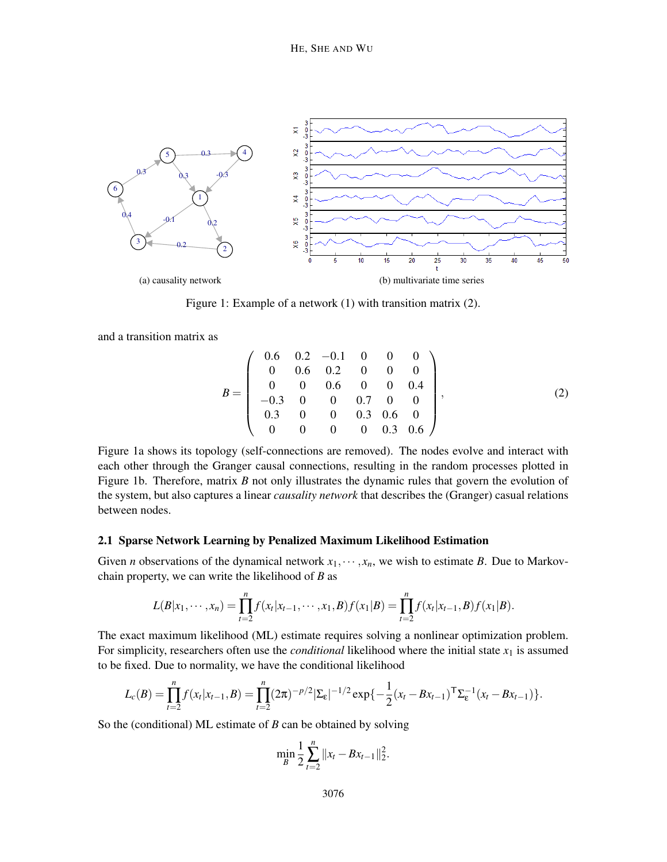

Figure 1: Example of a network (1) with transition matrix (2).

and a transition matrix as

$$
B = \left(\begin{array}{cccccc} 0.6 & 0.2 & -0.1 & 0 & 0 & 0 \\ 0 & 0.6 & 0.2 & 0 & 0 & 0 \\ 0 & 0 & 0.6 & 0 & 0 & 0.4 \\ -0.3 & 0 & 0 & 0.7 & 0 & 0 \\ 0.3 & 0 & 0 & 0.3 & 0.6 & 0 \\ 0 & 0 & 0 & 0 & 0.3 & 0.6 \end{array}\right),
$$
 (2)

Figure 1a shows its topology (self-connections are removed). The nodes evolve and interact with each other through the Granger causal connections, resulting in the random processes plotted in Figure 1b. Therefore, matrix *B* not only illustrates the dynamic rules that govern the evolution of the system, but also captures a linear *causality network* that describes the (Granger) casual relations between nodes.

## 2.1 Sparse Network Learning by Penalized Maximum Likelihood Estimation

Given *n* observations of the dynamical network  $x_1, \dots, x_n$ , we wish to estimate *B*. Due to Markovchain property, we can write the likelihood of *B* as

$$
L(B|x_1,\dots,x_n)=\prod_{t=2}^n f(x_t|x_{t-1},\dots,x_1,B)f(x_1|B)=\prod_{t=2}^n f(x_t|x_{t-1},B)f(x_1|B).
$$

The exact maximum likelihood (ML) estimate requires solving a nonlinear optimization problem. For simplicity, researchers often use the *conditional* likelihood where the initial state *x*<sup>1</sup> is assumed to be fixed. Due to normality, we have the conditional likelihood

$$
L_c(B) = \prod_{t=2}^n f(x_t|x_{t-1},B) = \prod_{t=2}^n (2\pi)^{-p/2} |\Sigma_{\varepsilon}|^{-1/2} \exp\{-\frac{1}{2}(x_t - Bx_{t-1})^{\mathsf{T}} \Sigma_{\varepsilon}^{-1} (x_t - Bx_{t-1})\}.
$$

So the (conditional) ML estimate of *B* can be obtained by solving

$$
\min_{B} \frac{1}{2} \sum_{t=2}^{n} \|x_t - Bx_{t-1}\|_2^2.
$$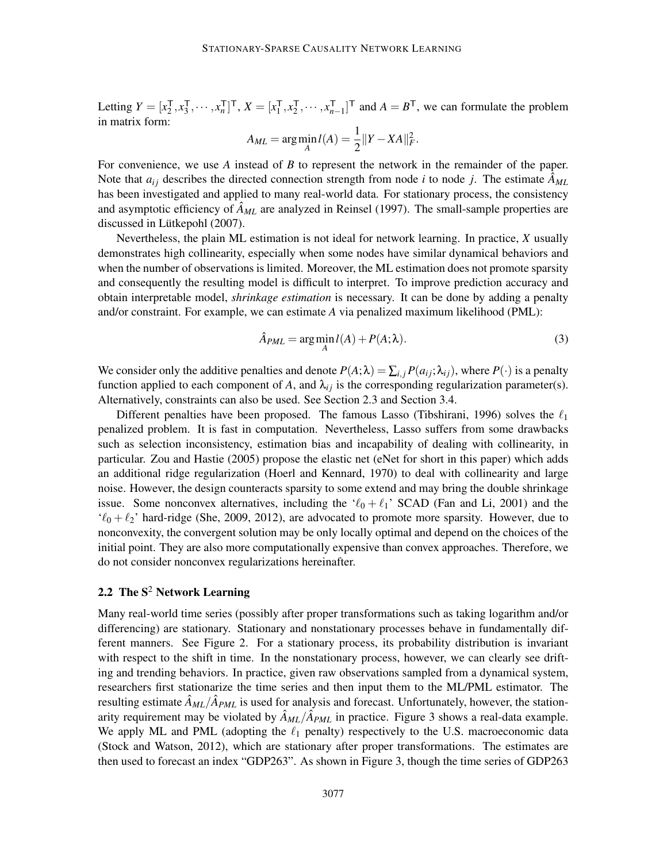Letting  $Y = [x_2^{\mathsf{T}}]$  $_{2}^{T}, x_{3}^{T}$  $\frac{1}{3}, \cdots, x_n^{\mathsf{T}}$  $\prod_{n=1}^{T}$ <sup>T</sup>, *X* =  $[x_1^{\mathsf{T}}$  $_{1}^{T}$ ,  $x_{2}^{T}$  $x_2^{\mathsf{T}}, \cdots, x_n^{\mathsf{T}}$  $\begin{bmatrix} T \\ n-1 \end{bmatrix}$ <sup>T</sup> and  $A = B$ <sup>T</sup>, we can formulate the problem in matrix form:

$$
A_{ML} = \arg\min_{A} l(A) = \frac{1}{2} ||Y - XA||_F^2.
$$

For convenience, we use *A* instead of *B* to represent the network in the remainder of the paper. Note that  $a_{ij}$  describes the directed connection strength from node *i* to node *j*. The estimate  $\hat{A}_{ML}$ has been investigated and applied to many real-world data. For stationary process, the consistency and asymptotic efficiency of  $\hat{A}_{ML}$  are analyzed in Reinsel (1997). The small-sample properties are discussed in Lütkepohl (2007).

Nevertheless, the plain ML estimation is not ideal for network learning. In practice, *X* usually demonstrates high collinearity, especially when some nodes have similar dynamical behaviors and when the number of observations is limited. Moreover, the ML estimation does not promote sparsity and consequently the resulting model is difficult to interpret. To improve prediction accuracy and obtain interpretable model, *shrinkage estimation* is necessary. It can be done by adding a penalty and/or constraint. For example, we can estimate *A* via penalized maximum likelihood (PML):

$$
\hat{A}_{PML} = \arg\min_{A} l(A) + P(A; \lambda).
$$
\n(3)

We consider only the additive penalties and denote  $P(A; \lambda) = \sum_{i,j} P(a_{ij}; \lambda_{ij})$ , where  $P(\cdot)$  is a penalty function applied to each component of *A*, and  $\lambda_{ij}$  is the corresponding regularization parameter(s). Alternatively, constraints can also be used. See Section 2.3 and Section 3.4.

Different penalties have been proposed. The famous Lasso (Tibshirani, 1996) solves the  $\ell_1$ penalized problem. It is fast in computation. Nevertheless, Lasso suffers from some drawbacks such as selection inconsistency, estimation bias and incapability of dealing with collinearity, in particular. Zou and Hastie (2005) propose the elastic net (eNet for short in this paper) which adds an additional ridge regularization (Hoerl and Kennard, 1970) to deal with collinearity and large noise. However, the design counteracts sparsity to some extend and may bring the double shrinkage issue. Some nonconvex alternatives, including the ' $\ell_0 + \ell_1$ ' SCAD (Fan and Li, 2001) and the  $\ell_0 + \ell_2$ ' hard-ridge (She, 2009, 2012), are advocated to promote more sparsity. However, due to nonconvexity, the convergent solution may be only locally optimal and depend on the choices of the initial point. They are also more computationally expensive than convex approaches. Therefore, we do not consider nonconvex regularizations hereinafter.

## 2.2 The  $S^2$  Network Learning

Many real-world time series (possibly after proper transformations such as taking logarithm and/or differencing) are stationary. Stationary and nonstationary processes behave in fundamentally different manners. See Figure 2. For a stationary process, its probability distribution is invariant with respect to the shift in time. In the nonstationary process, however, we can clearly see drifting and trending behaviors. In practice, given raw observations sampled from a dynamical system, researchers first stationarize the time series and then input them to the ML/PML estimator. The resulting estimate  $\hat{A}_{ML}/\hat{A}_{PML}$  is used for analysis and forecast. Unfortunately, however, the stationarity requirement may be violated by  $\hat{A}_{ML}/\hat{A}_{PML}$  in practice. Figure 3 shows a real-data example. We apply ML and PML (adopting the  $\ell_1$  penalty) respectively to the U.S. macroeconomic data (Stock and Watson, 2012), which are stationary after proper transformations. The estimates are then used to forecast an index "GDP263". As shown in Figure 3, though the time series of GDP263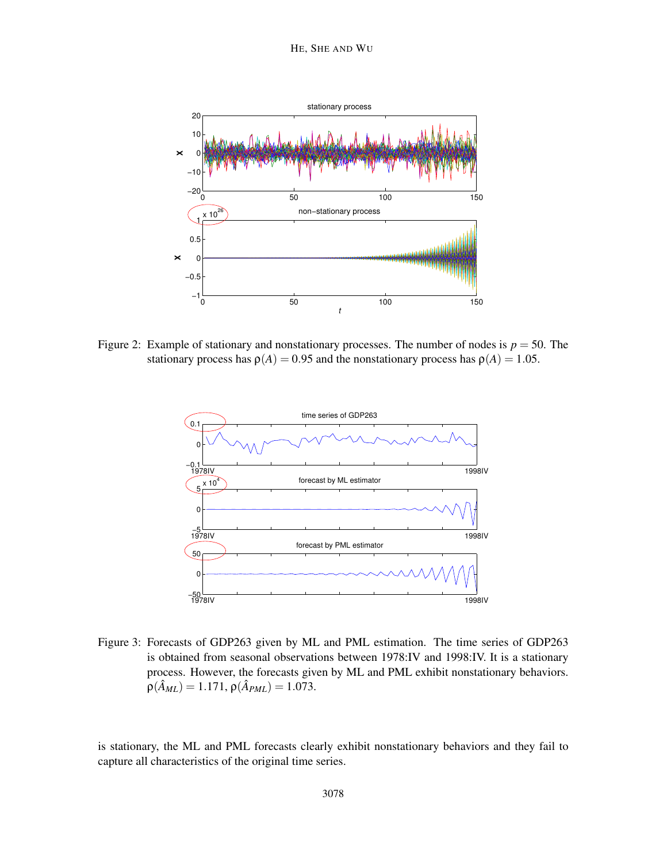

Figure 2: Example of stationary and nonstationary processes. The number of nodes is  $p = 50$ . The stationary process has  $\rho(A) = 0.95$  and the nonstationary process has  $\rho(A) = 1.05$ .



Figure 3: Forecasts of GDP263 given by ML and PML estimation. The time series of GDP263 is obtained from seasonal observations between 1978:IV and 1998:IV. It is a stationary process. However, the forecasts given by ML and PML exhibit nonstationary behaviors.  $\rho(\hat{A}_{ML}) = 1.171, \rho(\hat{A}_{PML}) = 1.073.$ 

is stationary, the ML and PML forecasts clearly exhibit nonstationary behaviors and they fail to capture all characteristics of the original time series.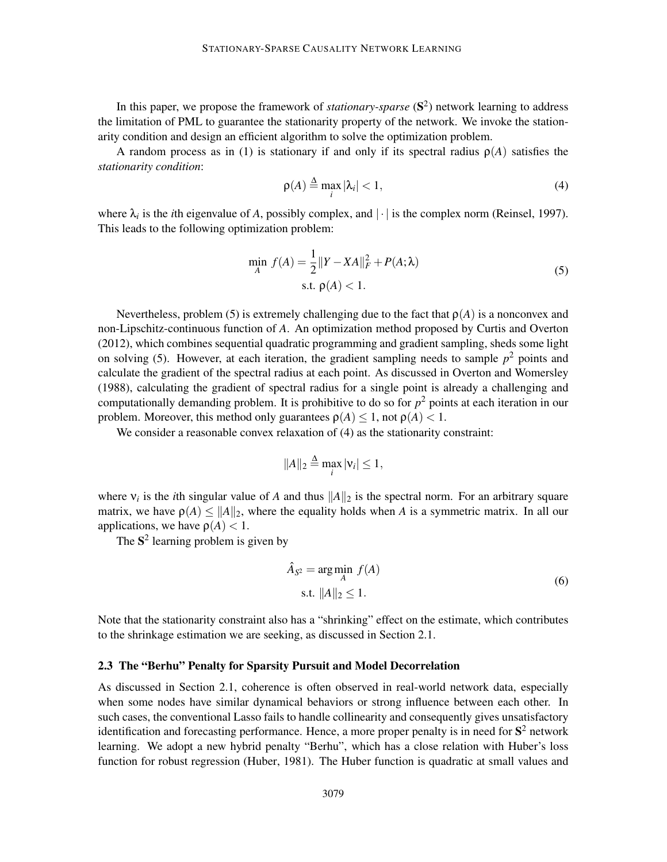In this paper, we propose the framework of *stationary-sparse* (S<sup>2</sup>) network learning to address the limitation of PML to guarantee the stationarity property of the network. We invoke the stationarity condition and design an efficient algorithm to solve the optimization problem.

A random process as in (1) is stationary if and only if its spectral radius  $\rho(A)$  satisfies the *stationarity condition*:

$$
\rho(A) \stackrel{\Delta}{=} \max_i |\lambda_i| < 1,\tag{4}
$$

where  $\lambda_i$  is the *i*th eigenvalue of *A*, possibly complex, and  $|\cdot|$  is the complex norm (Reinsel, 1997). This leads to the following optimization problem:

$$
\min_{A} f(A) = \frac{1}{2} ||Y - XA||_F^2 + P(A; \lambda)
$$
  
s.t.  $\rho(A) < 1$ . (5)

Nevertheless, problem (5) is extremely challenging due to the fact that  $\rho(A)$  is a nonconvex and non-Lipschitz-continuous function of *A*. An optimization method proposed by Curtis and Overton (2012), which combines sequential quadratic programming and gradient sampling, sheds some light on solving (5). However, at each iteration, the gradient sampling needs to sample  $p<sup>2</sup>$  points and calculate the gradient of the spectral radius at each point. As discussed in Overton and Womersley (1988), calculating the gradient of spectral radius for a single point is already a challenging and computationally demanding problem. It is prohibitive to do so for  $p<sup>2</sup>$  points at each iteration in our problem. Moreover, this method only guarantees  $\rho(A) \leq 1$ , not  $\rho(A) < 1$ .

We consider a reasonable convex relaxation of  $(4)$  as the stationarity constraint:

$$
||A||_2 \stackrel{\Delta}{=} \max_i |v_i| \le 1,
$$

where  $v_i$  is the *i*th singular value of *A* and thus  $||A||_2$  is the spectral norm. For an arbitrary square matrix, we have  $\rho(A) \leq ||A||_2$ , where the equality holds when *A* is a symmetric matrix. In all our applications, we have  $\rho(A) < 1$ .

The  $S^2$  learning problem is given by

$$
\hat{A}_{S^2} = \underset{A}{\arg\min} f(A)
$$
\n
$$
\text{s.t. } ||A||_2 \le 1.
$$
\n(6)

Note that the stationarity constraint also has a "shrinking" effect on the estimate, which contributes to the shrinkage estimation we are seeking, as discussed in Section 2.1.

#### 2.3 The "Berhu" Penalty for Sparsity Pursuit and Model Decorrelation

As discussed in Section 2.1, coherence is often observed in real-world network data, especially when some nodes have similar dynamical behaviors or strong influence between each other. In such cases, the conventional Lasso fails to handle collinearity and consequently gives unsatisfactory identification and forecasting performance. Hence, a more proper penalty is in need for  $S^2$  network learning. We adopt a new hybrid penalty "Berhu", which has a close relation with Huber's loss function for robust regression (Huber, 1981). The Huber function is quadratic at small values and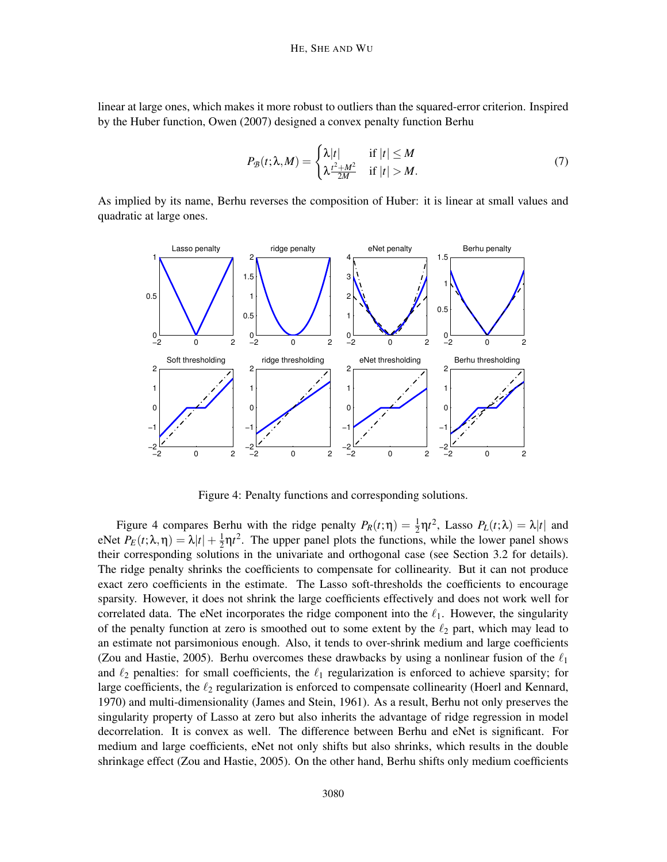linear at large ones, which makes it more robust to outliers than the squared-error criterion. Inspired by the Huber function, Owen (2007) designed a convex penalty function Berhu

$$
P_{\mathcal{B}}(t; \lambda, M) = \begin{cases} \lambda |t| & \text{if } |t| \le M \\ \lambda \frac{t^2 + M^2}{2M} & \text{if } |t| > M. \end{cases} \tag{7}
$$

As implied by its name, Berhu reverses the composition of Huber: it is linear at small values and quadratic at large ones.



Figure 4: Penalty functions and corresponding solutions.

Figure 4 compares Berhu with the ridge penalty  $P_R(t;\eta) = \frac{1}{2}\eta t^2$ , Lasso  $P_L(t;\lambda) = \lambda |t|$  and eNet  $P_E(t; \lambda, \eta) = \lambda |t| + \frac{1}{2}$  $\frac{1}{2}$  $\eta t^2$ . The upper panel plots the functions, while the lower panel shows their corresponding solutions in the univariate and orthogonal case (see Section 3.2 for details). The ridge penalty shrinks the coefficients to compensate for collinearity. But it can not produce exact zero coefficients in the estimate. The Lasso soft-thresholds the coefficients to encourage sparsity. However, it does not shrink the large coefficients effectively and does not work well for correlated data. The eNet incorporates the ridge component into the  $\ell_1$ . However, the singularity of the penalty function at zero is smoothed out to some extent by the  $\ell_2$  part, which may lead to an estimate not parsimonious enough. Also, it tends to over-shrink medium and large coefficients (Zou and Hastie, 2005). Berhu overcomes these drawbacks by using a nonlinear fusion of the  $\ell_1$ and  $\ell_2$  penalties: for small coefficients, the  $\ell_1$  regularization is enforced to achieve sparsity; for large coefficients, the  $\ell_2$  regularization is enforced to compensate collinearity (Hoerl and Kennard, 1970) and multi-dimensionality (James and Stein, 1961). As a result, Berhu not only preserves the singularity property of Lasso at zero but also inherits the advantage of ridge regression in model decorrelation. It is convex as well. The difference between Berhu and eNet is significant. For medium and large coefficients, eNet not only shifts but also shrinks, which results in the double shrinkage effect (Zou and Hastie, 2005). On the other hand, Berhu shifts only medium coefficients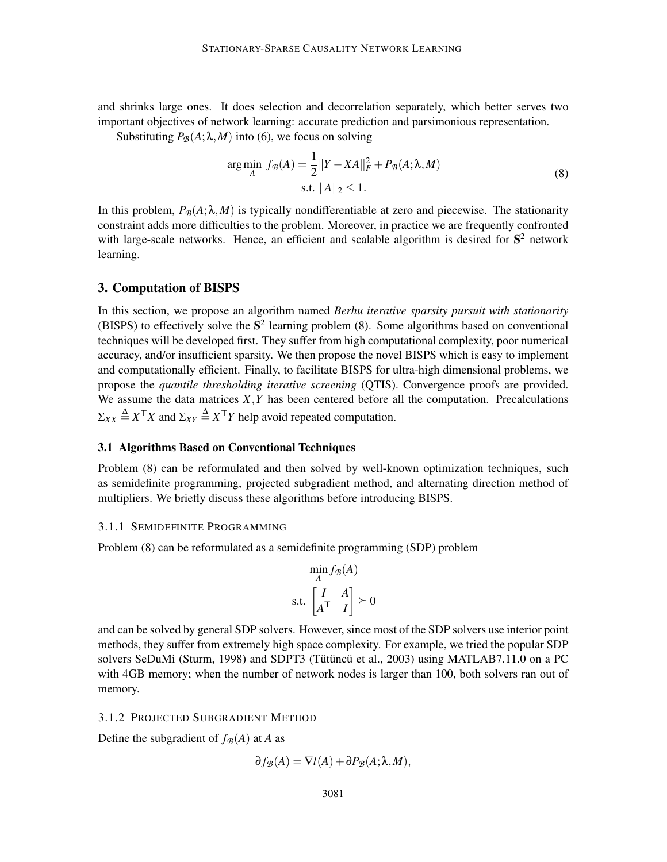and shrinks large ones. It does selection and decorrelation separately, which better serves two important objectives of network learning: accurate prediction and parsimonious representation.

Substituting  $P_B(A; \lambda, M)$  into (6), we focus on solving

$$
\arg\min_{A} f_{\mathcal{B}}(A) = \frac{1}{2} ||Y - XA||_F^2 + P_{\mathcal{B}}(A; \lambda, M)
$$
  
s.t.  $||A||_2 \le 1$ . (8)

In this problem,  $P_{\mathcal{B}}(A; \lambda, M)$  is typically nondifferentiable at zero and piecewise. The stationarity constraint adds more difficulties to the problem. Moreover, in practice we are frequently confronted with large-scale networks. Hence, an efficient and scalable algorithm is desired for  $S<sup>2</sup>$  network learning.

## 3. Computation of BISPS

In this section, we propose an algorithm named *Berhu iterative sparsity pursuit with stationarity* (BISPS) to effectively solve the  $S^2$  learning problem (8). Some algorithms based on conventional techniques will be developed first. They suffer from high computational complexity, poor numerical accuracy, and/or insufficient sparsity. We then propose the novel BISPS which is easy to implement and computationally efficient. Finally, to facilitate BISPS for ultra-high dimensional problems, we propose the *quantile thresholding iterative screening* (QTIS). Convergence proofs are provided. We assume the data matrices  $X, Y$  has been centered before all the computation. Precalculations  $\Sigma_{XX} \triangleq X^{\mathsf{T}} X$  and  $\Sigma_{XY} \triangleq X^{\mathsf{T}} Y$  help avoid repeated computation.

## 3.1 Algorithms Based on Conventional Techniques

Problem (8) can be reformulated and then solved by well-known optimization techniques, such as semidefinite programming, projected subgradient method, and alternating direction method of multipliers. We briefly discuss these algorithms before introducing BISPS.

## 3.1.1 SEMIDEFINITE PROGRAMMING

Problem (8) can be reformulated as a semidefinite programming (SDP) problem

$$
\min_{A} f_{\mathcal{B}}(A)
$$
  
s.t. 
$$
\begin{bmatrix} I & A \\ A^{\mathsf{T}} & I \end{bmatrix} \succeq 0
$$

and can be solved by general SDP solvers. However, since most of the SDP solvers use interior point methods, they suffer from extremely high space complexity. For example, we tried the popular SDP solvers SeDuMi (Sturm, 1998) and SDPT3 (Tütüncü et al., 2003) using MATLAB7.11.0 on a PC with 4GB memory; when the number of network nodes is larger than 100, both solvers ran out of memory.

## 3.1.2 PROJECTED SUBGRADIENT METHOD

Define the subgradient of  $f_{\mathcal{B}}(A)$  at *A* as

$$
\partial f_{\mathcal{B}}(A) = \nabla l(A) + \partial P_{\mathcal{B}}(A; \lambda, M),
$$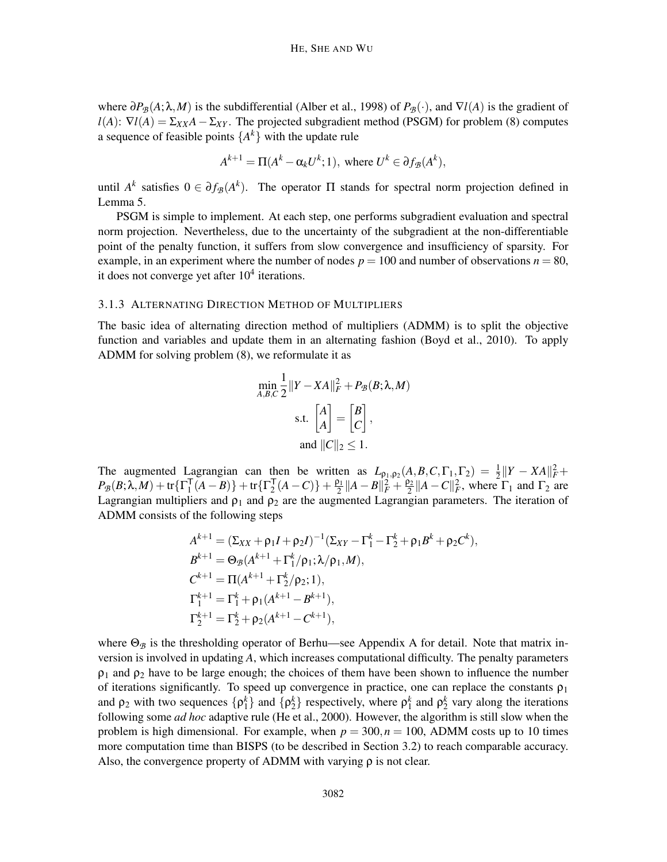where  $\partial P_{\mathcal{B}}(A; \lambda, M)$  is the subdifferential (Alber et al., 1998) of  $P_{\mathcal{B}}(\cdot)$ , and  $\nabla l(A)$  is the gradient of  $l(A)$ :  $\nabla l(A) = \Sigma_{XX}A - \Sigma_{XY}$ . The projected subgradient method (PSGM) for problem (8) computes a sequence of feasible points  $\{A^k\}$  with the update rule

$$
A^{k+1} = \Pi(A^k - \alpha_k U^k; 1), \text{ where } U^k \in \partial f_{\mathcal{B}}(A^k),
$$

until  $A^k$  satisfies  $0 \in \partial f_{\mathcal{B}}(A^k)$ . The operator  $\Pi$  stands for spectral norm projection defined in Lemma 5.

PSGM is simple to implement. At each step, one performs subgradient evaluation and spectral norm projection. Nevertheless, due to the uncertainty of the subgradient at the non-differentiable point of the penalty function, it suffers from slow convergence and insufficiency of sparsity. For example, in an experiment where the number of nodes  $p = 100$  and number of observations  $n = 80$ , it does not converge yet after  $10<sup>4</sup>$  iterations.

### 3.1.3 ALTERNATING DIRECTION METHOD OF MULTIPLIERS

The basic idea of alternating direction method of multipliers (ADMM) is to split the objective function and variables and update them in an alternating fashion (Boyd et al., 2010). To apply ADMM for solving problem (8), we reformulate it as

$$
\min_{A,B,C} \frac{1}{2} ||Y - XA||_F^2 + P_{\mathcal{B}}(B; \lambda, M)
$$
  
s.t. 
$$
\begin{bmatrix} A \\ A \end{bmatrix} = \begin{bmatrix} B \\ C \end{bmatrix},
$$
  
and 
$$
||C||_2 \le 1.
$$

The augmented Lagrangian can then be written as  $L_{\rho_1,\rho_2}(A,B,C,\Gamma_1,\Gamma_2) = \frac{1}{2} ||Y - XA||_F^2 +$  $P_{\mathcal{B}}(B;\lambda,M) + \text{tr}\{\Gamma_1^{\mathsf{T}}\}$  $\prod_{1}^{\mathsf{T}} (A-B)\} + \text{tr} \{ \Gamma_{2}^{\mathsf{T}}$  $\frac{1}{2}(A-C)\}+\frac{\rho_1}{2}$  $\frac{\rho_1}{2} \|A - B\|_F^2 + \frac{\rho_2}{2}$  $\frac{\rho_2}{2}$  ||A – *C*|| $_F^2$ , where  $\Gamma_1$  and  $\Gamma_2$  are Lagrangian multipliers and  $\rho_1$  and  $\rho_2$  are the augmented Lagrangian parameters. The iteration of ADMM consists of the following steps

$$
A^{k+1} = (\Sigma_{XX} + \rho_1 I + \rho_2 I)^{-1} (\Sigma_{XY} - \Gamma_1^k - \Gamma_2^k + \rho_1 B^k + \rho_2 C^k),
$$
  
\n
$$
B^{k+1} = \Theta_B (A^{k+1} + \Gamma_1^k / \rho_1; \lambda / \rho_1, M),
$$
  
\n
$$
C^{k+1} = \Pi (A^{k+1} + \Gamma_2^k / \rho_2; 1),
$$
  
\n
$$
\Gamma_1^{k+1} = \Gamma_1^k + \rho_1 (A^{k+1} - B^{k+1}),
$$
  
\n
$$
\Gamma_2^{k+1} = \Gamma_2^k + \rho_2 (A^{k+1} - C^{k+1}),
$$

where  $\Theta_B$  is the thresholding operator of Berhu—see Appendix A for detail. Note that matrix inversion is involved in updating *A*, which increases computational difficulty. The penalty parameters  $\rho_1$  and  $\rho_2$  have to be large enough; the choices of them have been shown to influence the number of iterations significantly. To speed up convergence in practice, one can replace the constants  $\rho_1$ and  $\rho_2$  with two sequences  $\{\rho_1^k\}$  and  $\{\rho_2^k\}$  respectively, where  $\rho_1^k$  and  $\rho_2^k$  vary along the iterations following some *ad hoc* adaptive rule (He et al., 2000). However, the algorithm is still slow when the problem is high dimensional. For example, when  $p = 300, n = 100$ , ADMM costs up to 10 times more computation time than BISPS (to be described in Section 3.2) to reach comparable accuracy. Also, the convergence property of ADMM with varying  $\rho$  is not clear.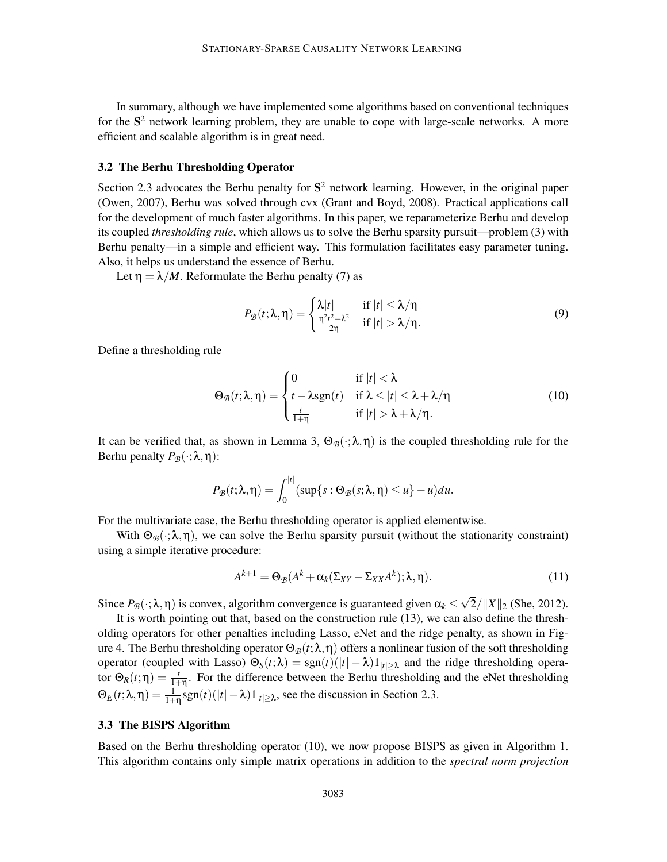In summary, although we have implemented some algorithms based on conventional techniques for the  $S<sup>2</sup>$  network learning problem, they are unable to cope with large-scale networks. A more efficient and scalable algorithm is in great need.

#### 3.2 The Berhu Thresholding Operator

Section 2.3 advocates the Berhu penalty for  $S^2$  network learning. However, in the original paper (Owen, 2007), Berhu was solved through cvx (Grant and Boyd, 2008). Practical applications call for the development of much faster algorithms. In this paper, we reparameterize Berhu and develop its coupled *thresholding rule*, which allows us to solve the Berhu sparsity pursuit—problem (3) with Berhu penalty—in a simple and efficient way. This formulation facilitates easy parameter tuning. Also, it helps us understand the essence of Berhu.

Let  $\eta = \lambda/M$ . Reformulate the Berhu penalty (7) as

$$
P_{\mathcal{B}}(t;\lambda,\eta) = \begin{cases} \lambda|t| & \text{if } |t| \leq \lambda/\eta \\ \frac{\eta^2 t^2 + \lambda^2}{2\eta} & \text{if } |t| > \lambda/\eta. \end{cases}
$$
(9)

Define a thresholding rule

$$
\Theta_{\mathcal{B}}(t;\lambda,\eta) = \begin{cases}\n0 & \text{if } |t| < \lambda \\
t - \lambda \operatorname{sgn}(t) & \text{if } \lambda \le |t| \le \lambda + \lambda/\eta \\
\frac{t}{1+\eta} & \text{if } |t| > \lambda + \lambda/\eta.\n\end{cases}
$$
\n(10)

It can be verified that, as shown in Lemma 3,  $\Theta_{\mathcal{B}}(\cdot;\lambda,\eta)$  is the coupled thresholding rule for the Berhu penalty  $P_{\mathcal{B}}(\cdot; \lambda, \eta)$ :

$$
P_{\mathcal{B}}(t;\lambda,\eta)=\int_0^{|t|}(\sup\{s:\Theta_{\mathcal{B}}(s;\lambda,\eta)\leq u\}-u)du.
$$

For the multivariate case, the Berhu thresholding operator is applied elementwise.

With  $\Theta_B(\cdot;\lambda,\eta)$ , we can solve the Berhu sparsity pursuit (without the stationarity constraint) using a simple iterative procedure:

$$
A^{k+1} = \Theta_{\mathcal{B}}(A^k + \alpha_k(\Sigma_{XY} - \Sigma_{XX}A^k); \lambda, \eta).
$$
\n(11)

Since  $P_{\mathcal{B}}(\cdot;\lambda,\eta)$  is convex, algorithm convergence is guaranteed given  $\alpha_k \leq \sqrt{2}/||X||_2$  (She, 2012).

It is worth pointing out that, based on the construction rule (13), we can also define the thresholding operators for other penalties including Lasso, eNet and the ridge penalty, as shown in Figure 4. The Berhu thresholding operator  $\Theta_{\mathcal{B}}(t;\lambda,\eta)$  offers a nonlinear fusion of the soft thresholding operator (coupled with Lasso) Θ*S*(*t*;λ) = sgn(*t*)(|*t*| − λ)1|*t*|≥<sup>λ</sup> and the ridge thresholding operator  $\Theta_R(t;\eta) = \frac{t}{1+\eta}$ . For the difference between the Berhu thresholding and the eNet thresholding  $\Theta_E(t; \lambda, \eta) = \frac{1}{1+\eta} \text{sgn}(t)(|t| - \lambda) \mathbb{1}_{|t| \geq \lambda}$ , see the discussion in Section 2.3.

## 3.3 The BISPS Algorithm

Based on the Berhu thresholding operator (10), we now propose BISPS as given in Algorithm 1. This algorithm contains only simple matrix operations in addition to the *spectral norm projection*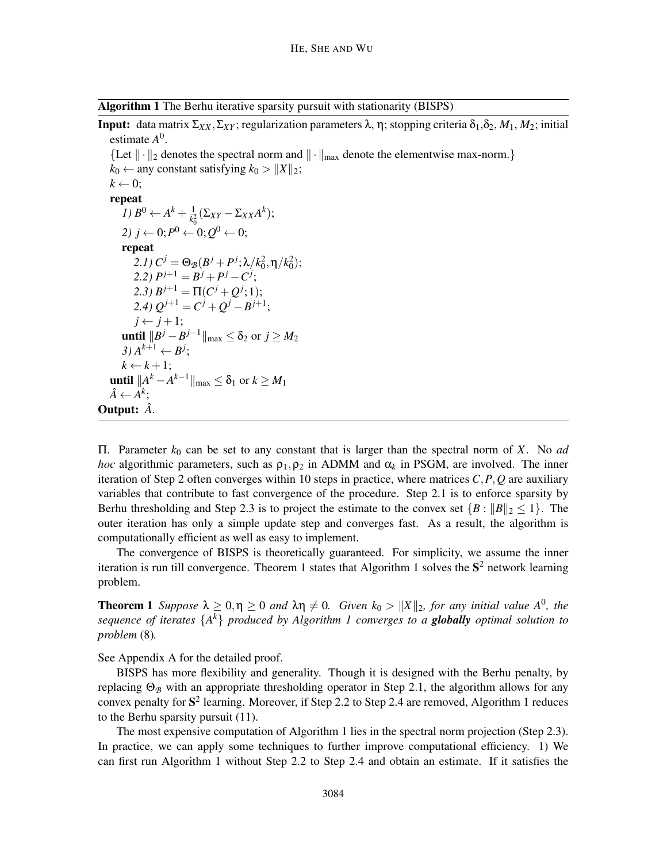Algorithm 1 The Berhu iterative sparsity pursuit with stationarity (BISPS)

**Input:** data matrix  $\Sigma_{XX}$ ,  $\Sigma_{XY}$ ; regularization parameters λ, η; stopping criteria δ<sub>1</sub>, δ<sub>2</sub>, *M*<sub>1</sub>, *M*<sub>2</sub>; initial estimate *A* 0 .

{Let  $\|\cdot\|_2$  denotes the spectral norm and  $\|\cdot\|_{\text{max}}$  denote the elementwise max-norm.}  $k_0 \leftarrow$  any constant satisfying  $k_0 > ||X||_2$ ;  $k \leftarrow 0$ ; repeat *1)*  $B^0 \leftarrow A^k + \frac{1}{k_0^2}$  $\frac{1}{k_0^2}$ (Σ*xY* − Σ*xX*</sub>*A*<sup>*k*</sup>); 2) *j* ← 0; $P^0$  ← 0; $Q^0$  ← 0; repeat 2.1)  $C^j = \Theta_{\mathcal{B}}(B^j + P^j; \lambda/k_0^2, \eta/k_0^2);$  $P^{j+1} = B^j + P^j - C^j;$ 2.3)  $B^{j+1} = \Pi(C^j + Q^j; 1);$  $2.4) Q^{j+1} = C^j + Q^j - B^{j+1};$ 

 $j \leftarrow j+1;$ **until**  $||B^j - B^{j-1}||_{max}$  ≤ δ<sub>2</sub> or *j* ≥ *M*<sub>2</sub>  $3) A^{k+1} \leftarrow B^j$ ;  $k \leftarrow k+1;$ **until**  $\|A^k - A^{k-1}\|_{\max}$  ≤ δ<sub>1</sub> or *k* ≥ *M*<sub>1</sub>  $\hat{A} \leftarrow \hat{A}^k;$ 

Output: *A*ˆ.

Π. Parameter *k*<sup>0</sup> can be set to any constant that is larger than the spectral norm of *X*. No *ad hoc* algorithmic parameters, such as  $\rho_1, \rho_2$  in ADMM and  $\alpha_k$  in PSGM, are involved. The inner iteration of Step 2 often converges within 10 steps in practice, where matrices *C*,*P*,*Q* are auxiliary variables that contribute to fast convergence of the procedure. Step 2.1 is to enforce sparsity by Berhu thresholding and Step 2.3 is to project the estimate to the convex set  $\{B: ||B||_2 \leq 1\}$ . The outer iteration has only a simple update step and converges fast. As a result, the algorithm is computationally efficient as well as easy to implement.

The convergence of BISPS is theoretically guaranteed. For simplicity, we assume the inner iteration is run till convergence. Theorem 1 states that Algorithm 1 solves the  $S<sup>2</sup>$  network learning problem.

**Theorem 1** *Suppose*  $\lambda \geq 0, \eta \geq 0$  *and*  $\lambda \eta \neq 0$ . *Given*  $k_0 > ||X||_2$ , *for any initial value*  $A^0$ *, the sequence of iterates* {*A k* } *produced by Algorithm 1 converges to a globally optimal solution to problem* (8)*.*

See Appendix A for the detailed proof.

BISPS has more flexibility and generality. Though it is designed with the Berhu penalty, by replacing  $Θ$ <sub>*B*</sub> with an appropriate thresholding operator in Step 2.1, the algorithm allows for any convex penalty for  $S^2$  learning. Moreover, if Step 2.2 to Step 2.4 are removed, Algorithm 1 reduces to the Berhu sparsity pursuit (11).

The most expensive computation of Algorithm 1 lies in the spectral norm projection (Step 2.3). In practice, we can apply some techniques to further improve computational efficiency. 1) We can first run Algorithm 1 without Step 2.2 to Step 2.4 and obtain an estimate. If it satisfies the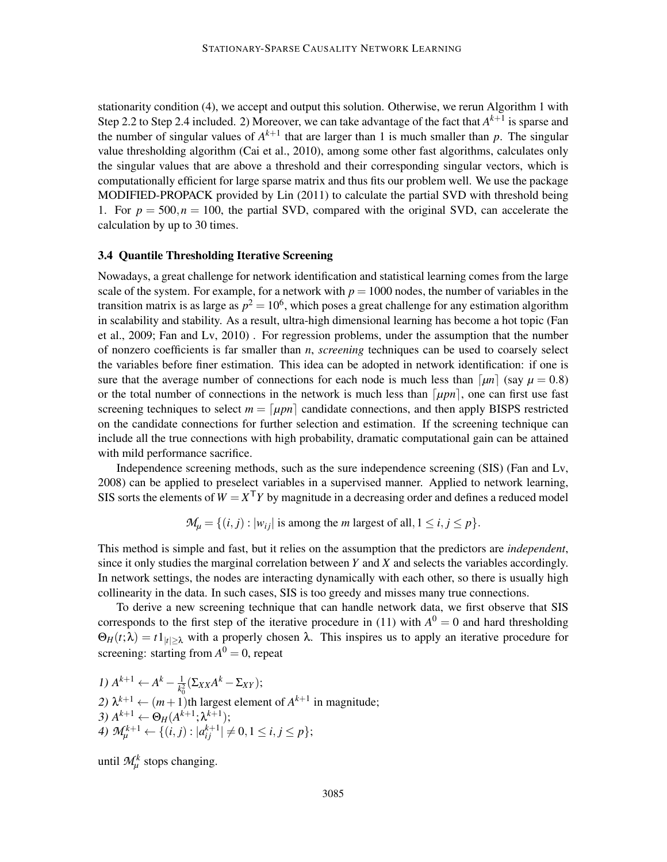stationarity condition (4), we accept and output this solution. Otherwise, we rerun Algorithm 1 with Step 2.2 to Step 2.4 included. 2) Moreover, we can take advantage of the fact that  $A^{k+1}$  is sparse and the number of singular values of  $A^{k+1}$  that are larger than 1 is much smaller than p. The singular value thresholding algorithm (Cai et al., 2010), among some other fast algorithms, calculates only the singular values that are above a threshold and their corresponding singular vectors, which is computationally efficient for large sparse matrix and thus fits our problem well. We use the package MODIFIED-PROPACK provided by Lin (2011) to calculate the partial SVD with threshold being 1. For  $p = 500, n = 100$ , the partial SVD, compared with the original SVD, can accelerate the calculation by up to 30 times.

## 3.4 Quantile Thresholding Iterative Screening

Nowadays, a great challenge for network identification and statistical learning comes from the large scale of the system. For example, for a network with  $p = 1000$  nodes, the number of variables in the transition matrix is as large as  $p^2 = 10^6$ , which poses a great challenge for any estimation algorithm in scalability and stability. As a result, ultra-high dimensional learning has become a hot topic (Fan et al., 2009; Fan and Lv, 2010) . For regression problems, under the assumption that the number of nonzero coefficients is far smaller than *n*, *screening* techniques can be used to coarsely select the variables before finer estimation. This idea can be adopted in network identification: if one is sure that the average number of connections for each node is much less than  $\lceil \mu n \rceil$  (say  $\mu = 0.8$ ) or the total number of connections in the network is much less than  $[*upn*]$ , one can first use fast screening techniques to select  $m = \lceil \mu p n \rceil$  candidate connections, and then apply BISPS restricted on the candidate connections for further selection and estimation. If the screening technique can include all the true connections with high probability, dramatic computational gain can be attained with mild performance sacrifice.

Independence screening methods, such as the sure independence screening (SIS) (Fan and Lv, 2008) can be applied to preselect variables in a supervised manner. Applied to network learning, SIS sorts the elements of  $W = X^{\mathsf{T}} Y$  by magnitude in a decreasing order and defines a reduced model

 $M_{\mu} = \{(i, j) : |w_{ij}| \text{ is among the } m \text{ largest of all}, 1 \le i, j \le p\}.$ 

This method is simple and fast, but it relies on the assumption that the predictors are *independent*, since it only studies the marginal correlation between *Y* and *X* and selects the variables accordingly. In network settings, the nodes are interacting dynamically with each other, so there is usually high collinearity in the data. In such cases, SIS is too greedy and misses many true connections.

To derive a new screening technique that can handle network data, we first observe that SIS corresponds to the first step of the iterative procedure in (11) with  $A^0 = 0$  and hard thresholding  $\Theta_H(t;\lambda) = t \mathbb{1}_{|t| > \lambda}$  with a properly chosen  $\lambda$ . This inspires us to apply an iterative procedure for screening: starting from  $A^0 = 0$ , repeat

1) 
$$
A^{k+1} \leftarrow A^k - \frac{1}{k_0^2} (\Sigma_{XX} A^k - \Sigma_{XY});
$$
  
\n2)  $\lambda^{k+1} \leftarrow (m+1)$ th largest element of  $A^{k+1}$  in magnitude;  
\n3)  $A^{k+1} \leftarrow \Theta_H(A^{k+1}; \lambda^{k+1});$   
\n4)  $\mathcal{M}_{\mu}^{k+1} \leftarrow \{(i, j) : |a_{ij}^{k+1}| \neq 0, 1 \leq i, j \leq p\};$ 

until  $\mathcal{M}_{\mu}^{k}$  stops changing.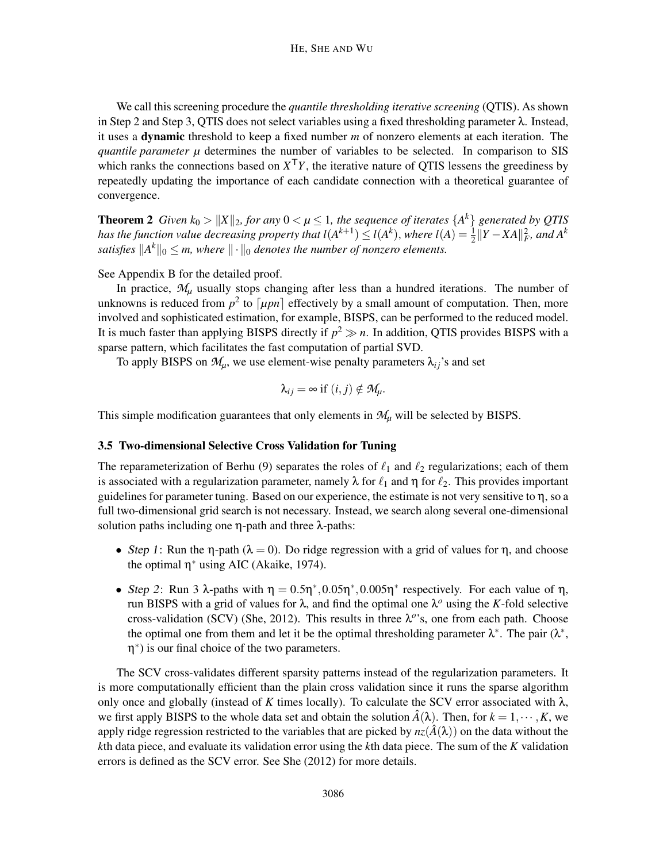We call this screening procedure the *quantile thresholding iterative screening* (QTIS). As shown in Step 2 and Step 3, QTIS does not select variables using a fixed thresholding parameter  $\lambda$ . Instead, it uses a dynamic threshold to keep a fixed number *m* of nonzero elements at each iteration. The *quantile parameter µ* determines the number of variables to be selected. In comparison to SIS which ranks the connections based on  $X^T Y$ , the iterative nature of QTIS lessens the greediness by repeatedly updating the importance of each candidate connection with a theoretical guarantee of convergence.

**Theorem 2** *Given k*<sub>0</sub>  $>$   $||X||_2$ *, for any*  $0 < \mu \le 1$ *, the sequence of iterates*  $\{A^k\}$  *generated by QTIS has the function value decreasing property that*  $l(A^{k+1}) \leq l(A^k)$ *, where*  $l(A) = \frac{1}{2} ||Y - XA||_F^2$ *, and*  $A^k$ satisfies  $||A^k||_0 \le m$ , where  $||\cdot||_0$  denotes the number of nonzero elements.

See Appendix B for the detailed proof.

In practice,  $M<sub>u</sub>$  usually stops changing after less than a hundred iterations. The number of unknowns is reduced from  $p^2$  to  $\lceil \mu pn \rceil$  effectively by a small amount of computation. Then, more involved and sophisticated estimation, for example, BISPS, can be performed to the reduced model. It is much faster than applying BISPS directly if  $p^2 \gg n$ . In addition, QTIS provides BISPS with a sparse pattern, which facilitates the fast computation of partial SVD.

To apply BISPS on  $\mathcal{M}_{\mu}$ , we use element-wise penalty parameters  $\lambda_{ij}$ 's and set

$$
\lambda_{ij} = \infty \text{ if } (i,j) \notin \mathcal{M}_{\mu}.
$$

This simple modification guarantees that only elements in *M<sup>µ</sup>* will be selected by BISPS.

## 3.5 Two-dimensional Selective Cross Validation for Tuning

The reparameterization of Berhu (9) separates the roles of  $\ell_1$  and  $\ell_2$  regularizations; each of them is associated with a regularization parameter, namely  $\lambda$  for  $\ell_1$  and  $\eta$  for  $\ell_2$ . This provides important guidelines for parameter tuning. Based on our experience, the estimate is not very sensitive to  $\eta$ , so a full two-dimensional grid search is not necessary. Instead, we search along several one-dimensional solution paths including one η-path and three λ-paths:

- Step 1: Run the  $\eta$ -path ( $\lambda = 0$ ). Do ridge regression with a grid of values for  $\eta$ , and choose the optimal  $\eta^*$  using AIC (Akaike, 1974).
- Step 2: Run 3  $\lambda$ -paths with  $\eta = 0.5\eta^*$ ,  $0.05\eta^*$ ,  $0.005\eta^*$  respectively. For each value of  $\eta$ , run BISPS with a grid of values for  $\lambda$ , and find the optimal one  $\lambda^o$  using the *K*-fold selective cross-validation (SCV) (She, 2012). This results in three  $\lambda^o$ 's, one from each path. Choose the optimal one from them and let it be the optimal thresholding parameter  $\lambda^*$ . The pair  $(\lambda^*,$ η ∗ ) is our final choice of the two parameters.

The SCV cross-validates different sparsity patterns instead of the regularization parameters. It is more computationally efficient than the plain cross validation since it runs the sparse algorithm only once and globally (instead of *K* times locally). To calculate the SCV error associated with  $\lambda$ , we first apply BISPS to the whole data set and obtain the solution  $\hat{A}(\lambda)$ . Then, for  $k = 1, \dots, K$ , we apply ridge regression restricted to the variables that are picked by  $nz(\hat{A}(\lambda))$  on the data without the *k*th data piece, and evaluate its validation error using the *k*th data piece. The sum of the *K* validation errors is defined as the SCV error. See She (2012) for more details.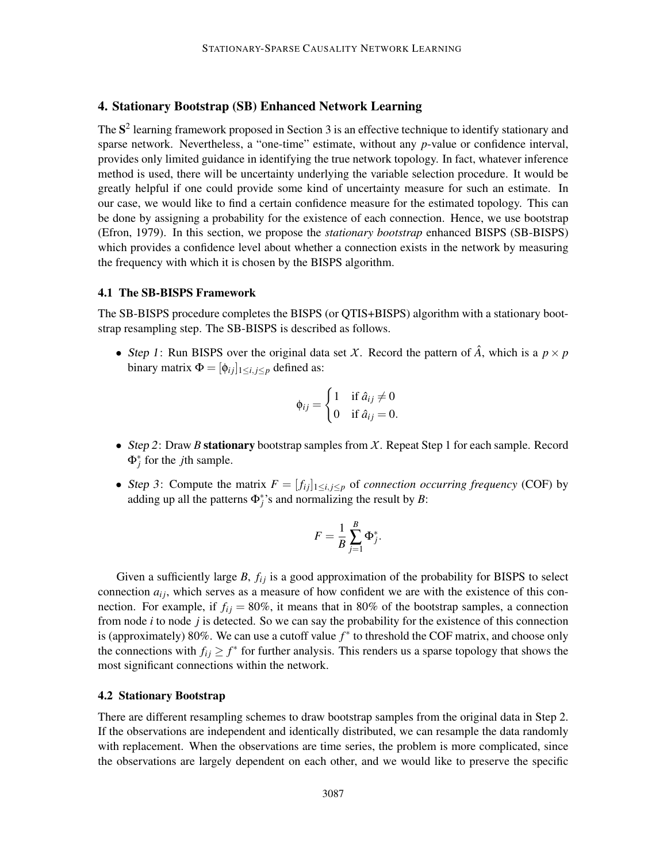## 4. Stationary Bootstrap (SB) Enhanced Network Learning

The  $S<sup>2</sup>$  learning framework proposed in Section 3 is an effective technique to identify stationary and sparse network. Nevertheless, a "one-time" estimate, without any *p*-value or confidence interval, provides only limited guidance in identifying the true network topology. In fact, whatever inference method is used, there will be uncertainty underlying the variable selection procedure. It would be greatly helpful if one could provide some kind of uncertainty measure for such an estimate. In our case, we would like to find a certain confidence measure for the estimated topology. This can be done by assigning a probability for the existence of each connection. Hence, we use bootstrap (Efron, 1979). In this section, we propose the *stationary bootstrap* enhanced BISPS (SB-BISPS) which provides a confidence level about whether a connection exists in the network by measuring the frequency with which it is chosen by the BISPS algorithm.

### 4.1 The SB-BISPS Framework

The SB-BISPS procedure completes the BISPS (or QTIS+BISPS) algorithm with a stationary bootstrap resampling step. The SB-BISPS is described as follows.

• Step 1: Run BISPS over the original data set *X*. Record the pattern of  $\hat{A}$ , which is a  $p \times p$ binary matrix  $\Phi = [\phi_{ij}]_{1 \le i, j \le p}$  defined as:

$$
\phi_{ij} = \begin{cases} 1 & \text{if } \hat{a}_{ij} \neq 0 \\ 0 & \text{if } \hat{a}_{ij} = 0. \end{cases}
$$

- Step <sup>2</sup>: Draw *<sup>B</sup>* stationary bootstrap samples from *X*. Repeat Step 1 for each sample. Record  $\Phi_j^*$  for the *j*th sample.
- Step 3: Compute the matrix  $F = [f_{ij}]_{1 \le i,j \le p}$  of *connection occurring frequency* (COF) by adding up all the patterns  $\Phi_j^*$ 's and normalizing the result by *B*:

$$
F = \frac{1}{B}\sum_{j=1}^B \Phi_j^*.
$$

Given a sufficiently large *B*,  $f_{ij}$  is a good approximation of the probability for BISPS to select connection  $a_{ij}$ , which serves as a measure of how confident we are with the existence of this connection. For example, if  $f_{ij} = 80\%$ , it means that in 80% of the bootstrap samples, a connection from node *i* to node *j* is detected. So we can say the probability for the existence of this connection is (approximately) 80%. We can use a cutoff value *f* ∗ to threshold the COF matrix, and choose only the connections with  $f_{ij} \geq f^*$  for further analysis. This renders us a sparse topology that shows the most significant connections within the network.

## 4.2 Stationary Bootstrap

There are different resampling schemes to draw bootstrap samples from the original data in Step 2. If the observations are independent and identically distributed, we can resample the data randomly with replacement. When the observations are time series, the problem is more complicated, since the observations are largely dependent on each other, and we would like to preserve the specific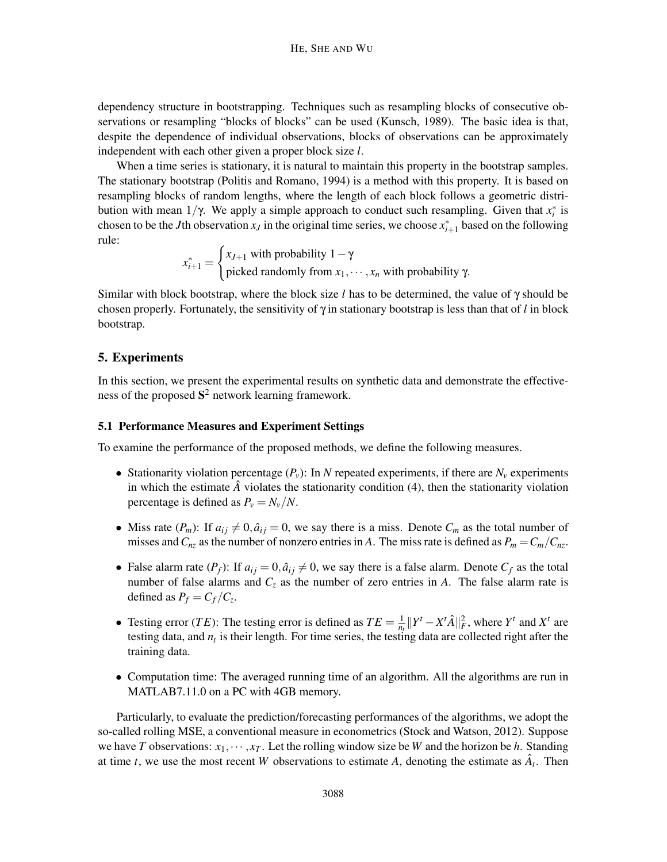dependency structure in bootstrapping. Techniques such as resampling blocks of consecutive observations or resampling "blocks of blocks" can be used (Kunsch, 1989). The basic idea is that, despite the dependence of individual observations, blocks of observations can be approximately independent with each other given a proper block size *l*.

When a time series is stationary, it is natural to maintain this property in the bootstrap samples. The stationary bootstrap (Politis and Romano, 1994) is a method with this property. It is based on resampling blocks of random lengths, where the length of each block follows a geometric distribution with mean  $1/\gamma$ . We apply a simple approach to conduct such resampling. Given that  $x_i^*$  is chosen to be the *J*th observation  $x_j$  in the original time series, we choose  $x_{i+1}^*$  based on the following rule:

 $x_{i+1}^* =$  $\int x_{J+1}$  with probability  $1 - \gamma$ picked randomly from  $x_1, \dots, x_n$  with probability  $\gamma$ .

Similar with block bootstrap, where the block size *l* has to be determined, the value of γ should be chosen properly. Fortunately, the sensitivity of  $\gamma$  in stationary bootstrap is less than that of *l* in block bootstrap.

## 5. Experiments

In this section, we present the experimental results on synthetic data and demonstrate the effectiveness of the proposed  $S^2$  network learning framework.

## 5.1 Performance Measures and Experiment Settings

To examine the performance of the proposed methods, we define the following measures.

- Stationarity violation percentage  $(P_v)$ : In *N* repeated experiments, if there are  $N_v$  experiments in which the estimate  $\hat{A}$  violates the stationarity condition (4), then the stationarity violation percentage is defined as  $P_v = N_v/N$ .
- Miss rate  $(P_m)$ : If  $a_{ij} \neq 0$ ,  $\hat{a}_{ij} = 0$ , we say there is a miss. Denote  $C_m$  as the total number of misses and  $C_{nz}$  as the number of nonzero entries in *A*. The miss rate is defined as  $P_m = C_m / C_{nz}$ .
- False alarm rate  $(P_f)$ : If  $a_{ij} = 0$ ,  $\hat{a}_{ij} \neq 0$ , we say there is a false alarm. Denote  $C_f$  as the total number of false alarms and  $C_z$  as the number of zero entries in *A*. The false alarm rate is defined as  $P_f = C_f / C_z$ .
- Testing error (*TE*): The testing error is defined as  $TE = \frac{1}{n_i}$  $\frac{1}{n_t}$ ||*Y*<sup>t</sup> − *X*<sup>t</sup> $\hat{A}$ || $_F^2$ , where *Y*<sup>t</sup> and *X*<sup>t</sup> are testing data, and *n<sup>t</sup>* is their length. For time series, the testing data are collected right after the training data.
- Computation time: The averaged running time of an algorithm. All the algorithms are run in MATLAB7.11.0 on a PC with 4GB memory.

Particularly, to evaluate the prediction/forecasting performances of the algorithms, we adopt the so-called rolling MSE, a conventional measure in econometrics (Stock and Watson, 2012). Suppose we have *T* observations:  $x_1, \dots, x_T$ . Let the rolling window size be *W* and the horizon be *h*. Standing at time *t*, we use the most recent *W* observations to estimate *A*, denoting the estimate as  $\hat{A}_t$ . Then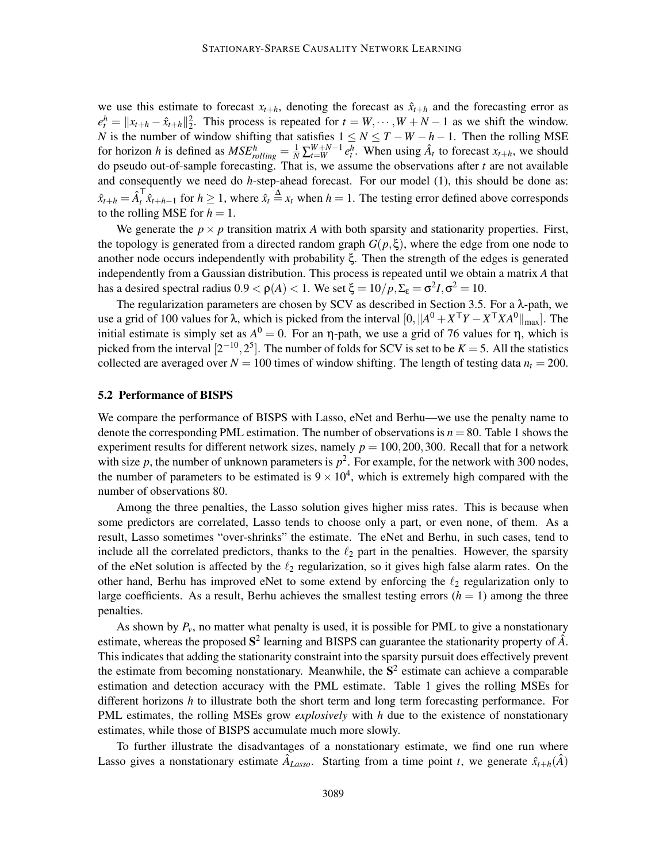we use this estimate to forecast  $x_{t+h}$ , denoting the forecast as  $\hat{x}_{t+h}$  and the forecasting error as  $e_t^h = \|x_{t+h} - \hat{x}_{t+h}\|_2^2$ . This process is repeated for  $t = W, \dots, W + N - 1$  as we shift the window. *N* is the number of window shifting that satisfies  $1 \le N \le T - W - h - 1$ . Then the rolling MSE for horizon h is defined as  $MSE_{rolling}^h = \frac{1}{N} \sum_{t=W}^{W+N-1} e_t^h$ . When using  $\hat{A}_t$  to forecast  $x_{t+h}$ , we should do pseudo out-of-sample forecasting. That is, we assume the observations after *t* are not available and consequently we need do *h*-step-ahead forecast. For our model (1), this should be done as:  $\hat{x}_{t+h} = \hat{A}_t^{\mathsf{T}}$ *t*<sup>*x*</sup><sub>*t*</sub> +*h*−1 for *h* ≥ 1, where  $\hat{x}_t \triangleq x_t$  when *h* = 1. The testing error defined above corresponds to the rolling MSE for  $h = 1$ .

We generate the  $p \times p$  transition matrix *A* with both sparsity and stationarity properties. First, the topology is generated from a directed random graph  $G(p,\xi)$ , where the edge from one node to another node occurs independently with probability ξ. Then the strength of the edges is generated independently from a Gaussian distribution. This process is repeated until we obtain a matrix *A* that has a desired spectral radius  $0.9 < \rho(A) < 1$ . We set  $\xi = 10/p$ ,  $\Sigma_{\epsilon} = \sigma^2 I$ ,  $\sigma^2 = 10$ .

The regularization parameters are chosen by SCV as described in Section 3.5. For a λ-path, we use a grid of 100 values for λ, which is picked from the interval  $[0, ||A^0 + X^{\mathsf{T}}Y - X^{\mathsf{T}}XA^0||_{\max}$ . The initial estimate is simply set as  $A^0 = 0$ . For an  $\eta$ -path, we use a grid of 76 values for  $\eta$ , which is picked from the interval  $[2^{-10}, 2^5]$ . The number of folds for SCV is set to be  $K = 5$ . All the statistics collected are averaged over  $N = 100$  times of window shifting. The length of testing data  $n_t = 200$ .

## 5.2 Performance of BISPS

We compare the performance of BISPS with Lasso, eNet and Berhu—we use the penalty name to denote the corresponding PML estimation. The number of observations is  $n = 80$ . Table 1 shows the experiment results for different network sizes, namely  $p = 100, 200, 300$ . Recall that for a network with size  $p$ , the number of unknown parameters is  $p^2$ . For example, for the network with 300 nodes, the number of parameters to be estimated is  $9 \times 10^4$ , which is extremely high compared with the number of observations 80.

Among the three penalties, the Lasso solution gives higher miss rates. This is because when some predictors are correlated, Lasso tends to choose only a part, or even none, of them. As a result, Lasso sometimes "over-shrinks" the estimate. The eNet and Berhu, in such cases, tend to include all the correlated predictors, thanks to the  $\ell_2$  part in the penalties. However, the sparsity of the eNet solution is affected by the  $\ell_2$  regularization, so it gives high false alarm rates. On the other hand, Berhu has improved eNet to some extend by enforcing the  $\ell_2$  regularization only to large coefficients. As a result, Berhu achieves the smallest testing errors  $(h = 1)$  among the three penalties.

As shown by  $P_v$ , no matter what penalty is used, it is possible for PML to give a nonstationary estimate, whereas the proposed  $S^2$  learning and BISPS can guarantee the stationarity property of  $\hat{A}$ . This indicates that adding the stationarity constraint into the sparsity pursuit does effectively prevent the estimate from becoming nonstationary. Meanwhile, the  $S<sup>2</sup>$  estimate can achieve a comparable estimation and detection accuracy with the PML estimate. Table 1 gives the rolling MSEs for different horizons *h* to illustrate both the short term and long term forecasting performance. For PML estimates, the rolling MSEs grow *explosively* with *h* due to the existence of nonstationary estimates, while those of BISPS accumulate much more slowly.

To further illustrate the disadvantages of a nonstationary estimate, we find one run where Lasso gives a nonstationary estimate  $\hat{A}_{Lasso}$ . Starting from a time point *t*, we generate  $\hat{x}_{t+h}(\hat{A})$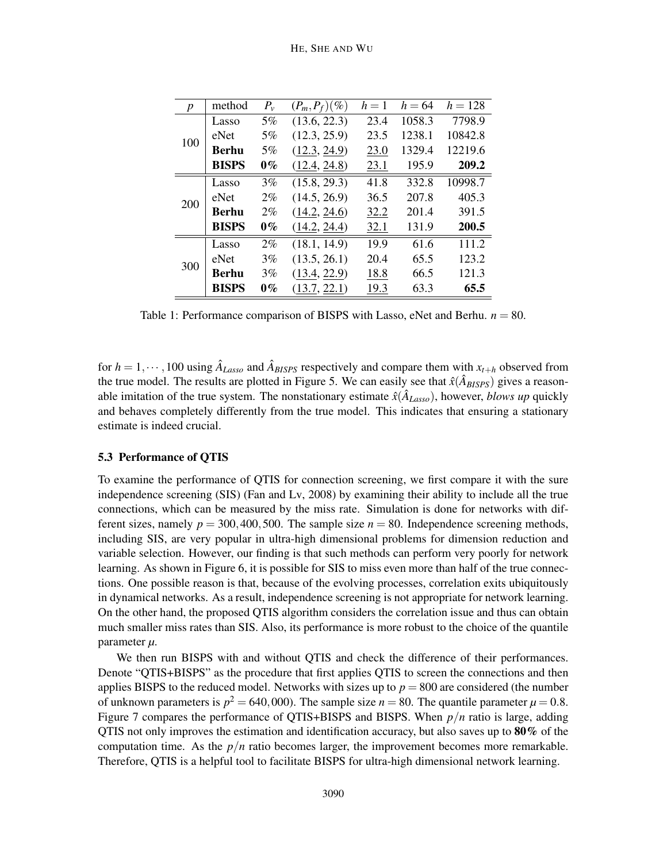| $\boldsymbol{p}$ | method       | $P_{\nu}$ | $(P_m, P_f)(\%)$ | $h=1$ | $h = 64$ | $h = 128$ |
|------------------|--------------|-----------|------------------|-------|----------|-----------|
| 100              | Lasso        | $5\%$     | (13.6, 22.3)     | 23.4  | 1058.3   | 7798.9    |
|                  | eNet         | $5\%$     | (12.3, 25.9)     | 23.5  | 1238.1   | 10842.8   |
|                  | <b>Berhu</b> | $5\%$     | (12.3, 24.9)     | 23.0  | 1329.4   | 12219.6   |
|                  | <b>BISPS</b> | $0\%$     | (12.4, 24.8)     | 23.1  | 195.9    | 209.2     |
| 200              | Lasso        | 3%        | (15.8, 29.3)     | 41.8  | 332.8    | 10998.7   |
|                  | eNet         | $2\%$     | (14.5, 26.9)     | 36.5  | 207.8    | 405.3     |
|                  | <b>Berhu</b> | $2\%$     | (14.2, 24.6)     | 32.2  | 201.4    | 391.5     |
|                  | <b>BISPS</b> | $0\%$     | (14.2, 24.4)     | 32.1  | 131.9    | 200.5     |
| 300              | Lasso        | $2\%$     | (18.1, 14.9)     | 19.9  | 61.6     | 111.2     |
|                  | eNet         | 3%        | (13.5, 26.1)     | 20.4  | 65.5     | 123.2     |
|                  | <b>Berhu</b> | 3%        | (13.4, 22.9)     | 18.8  | 66.5     | 121.3     |
|                  | <b>BISPS</b> | $0\%$     | (13.7, 22.1)     | 19.3  | 63.3     | 65.5      |

Table 1: Performance comparison of BISPS with Lasso, eNet and Berhu.  $n = 80$ .

for  $h = 1, \dots, 100$  using  $\hat{A}_{Lasso}$  and  $\hat{A}_{BISPS}$  respectively and compare them with  $x_{t+h}$  observed from the true model. The results are plotted in Figure 5. We can easily see that  $\hat{x}(\hat{A}_{BISPS})$  gives a reasonable imitation of the true system. The nonstationary estimate  $\hat{x}(\hat{A}_{Lasso})$ , however, *blows up* quickly and behaves completely differently from the true model. This indicates that ensuring a stationary estimate is indeed crucial.

#### 5.3 Performance of QTIS

To examine the performance of QTIS for connection screening, we first compare it with the sure independence screening (SIS) (Fan and Lv, 2008) by examining their ability to include all the true connections, which can be measured by the miss rate. Simulation is done for networks with different sizes, namely  $p = 300,400,500$ . The sample size  $n = 80$ . Independence screening methods, including SIS, are very popular in ultra-high dimensional problems for dimension reduction and variable selection. However, our finding is that such methods can perform very poorly for network learning. As shown in Figure 6, it is possible for SIS to miss even more than half of the true connections. One possible reason is that, because of the evolving processes, correlation exits ubiquitously in dynamical networks. As a result, independence screening is not appropriate for network learning. On the other hand, the proposed QTIS algorithm considers the correlation issue and thus can obtain much smaller miss rates than SIS. Also, its performance is more robust to the choice of the quantile parameter *µ*.

We then run BISPS with and without QTIS and check the difference of their performances. Denote "QTIS+BISPS" as the procedure that first applies QTIS to screen the connections and then applies BISPS to the reduced model. Networks with sizes up to  $p = 800$  are considered (the number of unknown parameters is  $p^2 = 640,000$ . The sample size  $n = 80$ . The quantile parameter  $\mu = 0.8$ . Figure 7 compares the performance of QTIS+BISPS and BISPS. When *p*/*n* ratio is large, adding QTIS not only improves the estimation and identification accuracy, but also saves up to 80% of the computation time. As the  $p/n$  ratio becomes larger, the improvement becomes more remarkable. Therefore, QTIS is a helpful tool to facilitate BISPS for ultra-high dimensional network learning.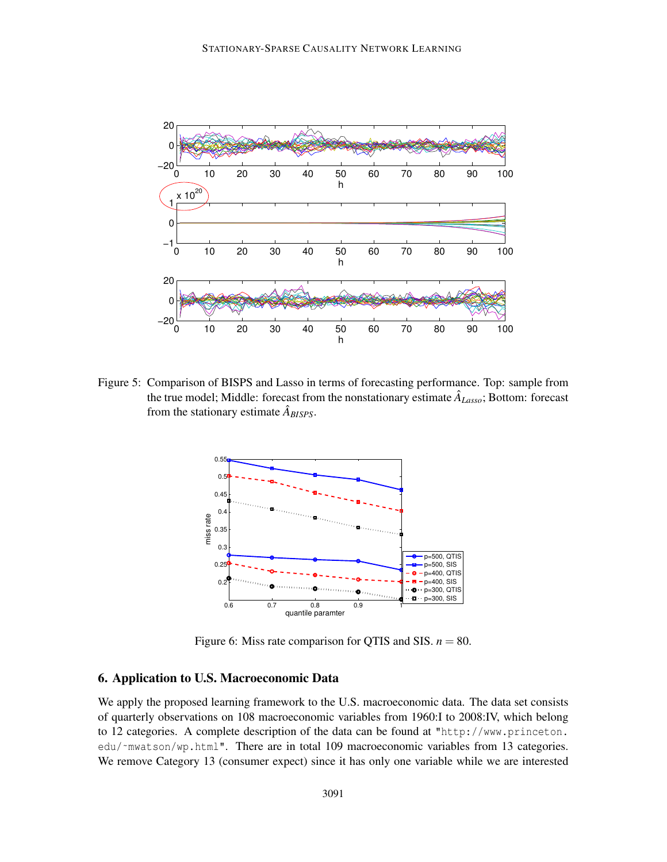

Figure 5: Comparison of BISPS and Lasso in terms of forecasting performance. Top: sample from the true model; Middle: forecast from the nonstationary estimate  $\hat{A}_{Lasso}$ ; Bottom: forecast from the stationary estimate  $\hat{A}_{BISPS}$ .



Figure 6: Miss rate comparison for QTIS and SIS.  $n = 80$ .

## 6. Application to U.S. Macroeconomic Data

We apply the proposed learning framework to the U.S. macroeconomic data. The data set consists of quarterly observations on 108 macroeconomic variables from 1960:I to 2008:IV, which belong to 12 categories. A complete description of the data can be found at "http://www.princeton. edu/~mwatson/wp.html". There are in total 109 macroeconomic variables from 13 categories. We remove Category 13 (consumer expect) since it has only one variable while we are interested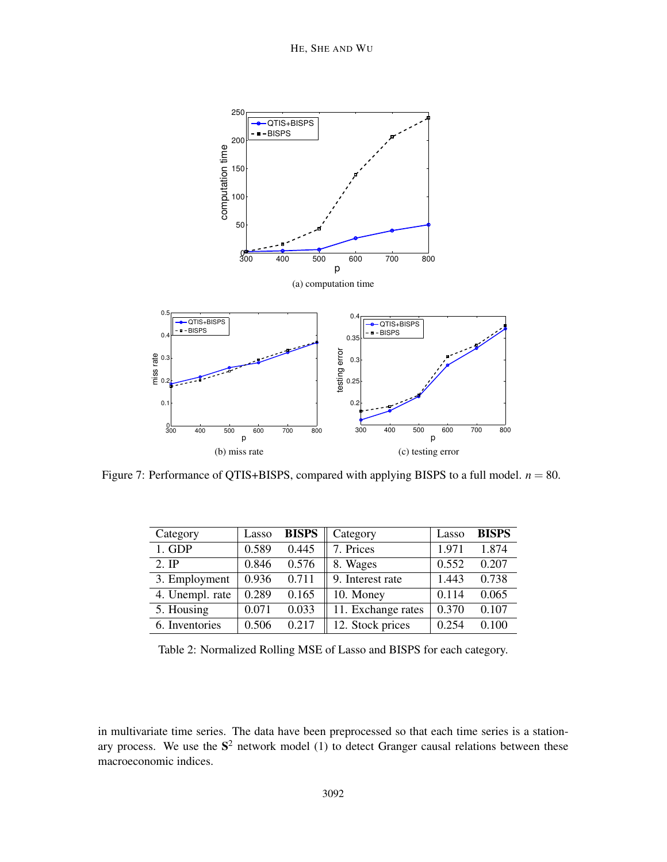

Figure 7: Performance of QTIS+BISPS, compared with applying BISPS to a full model.  $n = 80$ .

| Category        | Lasso | <b>BISPS</b> | Category           | Lasso | <b>BISPS</b> |
|-----------------|-------|--------------|--------------------|-------|--------------|
| $1.$ GDP        | 0.589 | 0.445        | 7. Prices          | 1.971 | 1.874        |
| $2.$ IP         | 0.846 | 0.576        | 8. Wages           | 0.552 | 0.207        |
| 3. Employment   | 0.936 | 0.711        | 9. Interest rate   | 1.443 | 0.738        |
| 4. Unempl. rate | 0.289 | 0.165        | 10. Money          | 0.114 | 0.065        |
| 5. Housing      | 0.071 | 0.033        | 11. Exchange rates | 0.370 | 0.107        |
| 6. Inventories  | 0.506 | 0.217        | 12. Stock prices   | 0.254 | 0.100        |

Table 2: Normalized Rolling MSE of Lasso and BISPS for each category.

in multivariate time series. The data have been preprocessed so that each time series is a stationary process. We use the  $S<sup>2</sup>$  network model (1) to detect Granger causal relations between these macroeconomic indices.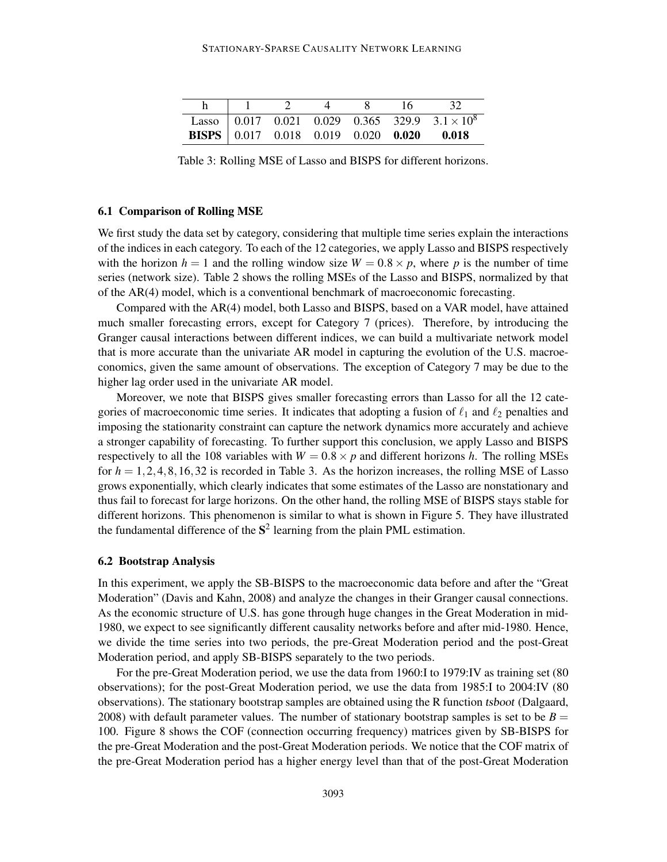|  |  | 16. | 32                                                                                            |
|--|--|-----|-----------------------------------------------------------------------------------------------|
|  |  |     | Lasso $\begin{bmatrix} 0.017 & 0.021 & 0.029 & 0.365 & 329.9 & 3.1 \times 10^8 \end{bmatrix}$ |
|  |  |     | <b>BISPS</b> $\begin{bmatrix} 0.017 & 0.018 & 0.019 & 0.020 & 0.020 & 0.018 \end{bmatrix}$    |

Table 3: Rolling MSE of Lasso and BISPS for different horizons.

#### 6.1 Comparison of Rolling MSE

We first study the data set by category, considering that multiple time series explain the interactions of the indices in each category. To each of the 12 categories, we apply Lasso and BISPS respectively with the horizon  $h = 1$  and the rolling window size  $W = 0.8 \times p$ , where p is the number of time series (network size). Table 2 shows the rolling MSEs of the Lasso and BISPS, normalized by that of the AR(4) model, which is a conventional benchmark of macroeconomic forecasting.

Compared with the AR(4) model, both Lasso and BISPS, based on a VAR model, have attained much smaller forecasting errors, except for Category 7 (prices). Therefore, by introducing the Granger causal interactions between different indices, we can build a multivariate network model that is more accurate than the univariate AR model in capturing the evolution of the U.S. macroeconomics, given the same amount of observations. The exception of Category 7 may be due to the higher lag order used in the univariate AR model.

Moreover, we note that BISPS gives smaller forecasting errors than Lasso for all the 12 categories of macroeconomic time series. It indicates that adopting a fusion of  $\ell_1$  and  $\ell_2$  penalties and imposing the stationarity constraint can capture the network dynamics more accurately and achieve a stronger capability of forecasting. To further support this conclusion, we apply Lasso and BISPS respectively to all the 108 variables with  $W = 0.8 \times p$  and different horizons *h*. The rolling MSEs for  $h = 1, 2, 4, 8, 16, 32$  is recorded in Table 3. As the horizon increases, the rolling MSE of Lasso grows exponentially, which clearly indicates that some estimates of the Lasso are nonstationary and thus fail to forecast for large horizons. On the other hand, the rolling MSE of BISPS stays stable for different horizons. This phenomenon is similar to what is shown in Figure 5. They have illustrated the fundamental difference of the  $S^2$  learning from the plain PML estimation.

#### 6.2 Bootstrap Analysis

In this experiment, we apply the SB-BISPS to the macroeconomic data before and after the "Great Moderation" (Davis and Kahn, 2008) and analyze the changes in their Granger causal connections. As the economic structure of U.S. has gone through huge changes in the Great Moderation in mid-1980, we expect to see significantly different causality networks before and after mid-1980. Hence, we divide the time series into two periods, the pre-Great Moderation period and the post-Great Moderation period, and apply SB-BISPS separately to the two periods.

For the pre-Great Moderation period, we use the data from 1960:I to 1979:IV as training set (80 observations); for the post-Great Moderation period, we use the data from 1985:I to 2004:IV (80 observations). The stationary bootstrap samples are obtained using the R function tsboot (Dalgaard, 2008) with default parameter values. The number of stationary bootstrap samples is set to be  $B =$ 100. Figure 8 shows the COF (connection occurring frequency) matrices given by SB-BISPS for the pre-Great Moderation and the post-Great Moderation periods. We notice that the COF matrix of the pre-Great Moderation period has a higher energy level than that of the post-Great Moderation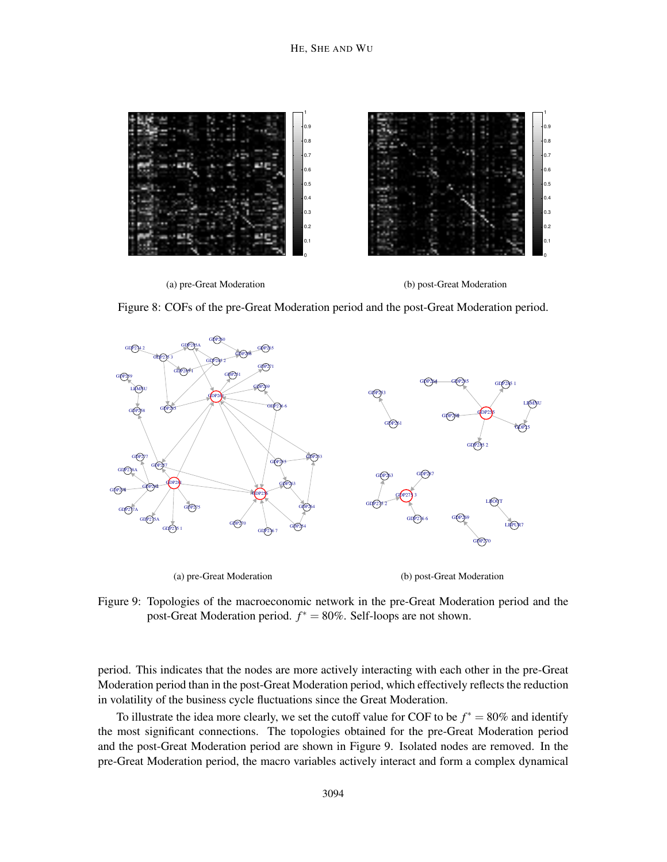

Figure 8: COFs of the pre-Great Moderation period and the post-Great Moderation period.



Figure 9: Topologies of the macroeconomic network in the pre-Great Moderation period and the post-Great Moderation period. *f* ∗ = 80%. Self-loops are not shown.

period. This indicates that the nodes are more actively interacting with each other in the pre-Great Moderation period than in the post-Great Moderation period, which effectively reflects the reduction in volatility of the business cycle fluctuations since the Great Moderation.

To illustrate the idea more clearly, we set the cutoff value for COF to be  $f^* = 80\%$  and identify the most significant connections. The topologies obtained for the pre-Great Moderation period and the post-Great Moderation period are shown in Figure 9. Isolated nodes are removed. In the pre-Great Moderation period, the macro variables actively interact and form a complex dynamical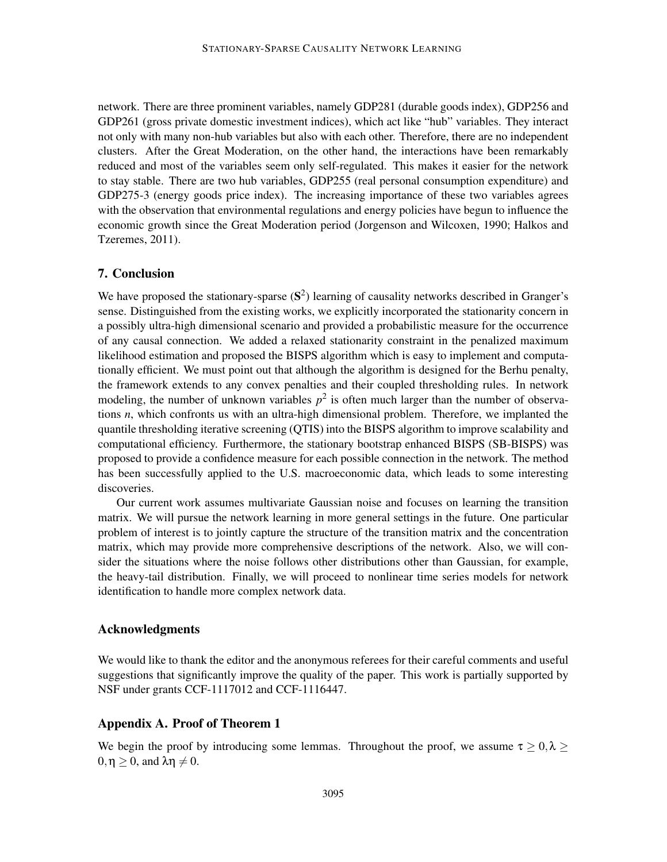network. There are three prominent variables, namely GDP281 (durable goods index), GDP256 and GDP261 (gross private domestic investment indices), which act like "hub" variables. They interact not only with many non-hub variables but also with each other. Therefore, there are no independent clusters. After the Great Moderation, on the other hand, the interactions have been remarkably reduced and most of the variables seem only self-regulated. This makes it easier for the network to stay stable. There are two hub variables, GDP255 (real personal consumption expenditure) and GDP275-3 (energy goods price index). The increasing importance of these two variables agrees with the observation that environmental regulations and energy policies have begun to influence the economic growth since the Great Moderation period (Jorgenson and Wilcoxen, 1990; Halkos and Tzeremes, 2011).

## 7. Conclusion

We have proposed the stationary-sparse  $(S^2)$  learning of causality networks described in Granger's sense. Distinguished from the existing works, we explicitly incorporated the stationarity concern in a possibly ultra-high dimensional scenario and provided a probabilistic measure for the occurrence of any causal connection. We added a relaxed stationarity constraint in the penalized maximum likelihood estimation and proposed the BISPS algorithm which is easy to implement and computationally efficient. We must point out that although the algorithm is designed for the Berhu penalty, the framework extends to any convex penalties and their coupled thresholding rules. In network modeling, the number of unknown variables  $p^2$  is often much larger than the number of observations *n*, which confronts us with an ultra-high dimensional problem. Therefore, we implanted the quantile thresholding iterative screening (QTIS) into the BISPS algorithm to improve scalability and computational efficiency. Furthermore, the stationary bootstrap enhanced BISPS (SB-BISPS) was proposed to provide a confidence measure for each possible connection in the network. The method has been successfully applied to the U.S. macroeconomic data, which leads to some interesting discoveries.

Our current work assumes multivariate Gaussian noise and focuses on learning the transition matrix. We will pursue the network learning in more general settings in the future. One particular problem of interest is to jointly capture the structure of the transition matrix and the concentration matrix, which may provide more comprehensive descriptions of the network. Also, we will consider the situations where the noise follows other distributions other than Gaussian, for example, the heavy-tail distribution. Finally, we will proceed to nonlinear time series models for network identification to handle more complex network data.

### Acknowledgments

We would like to thank the editor and the anonymous referees for their careful comments and useful suggestions that significantly improve the quality of the paper. This work is partially supported by NSF under grants CCF-1117012 and CCF-1116447.

## Appendix A. Proof of Theorem 1

We begin the proof by introducing some lemmas. Throughout the proof, we assume  $\tau \geq 0, \lambda \geq 1$  $0, \eta > 0$ , and  $\lambda \eta \neq 0$ .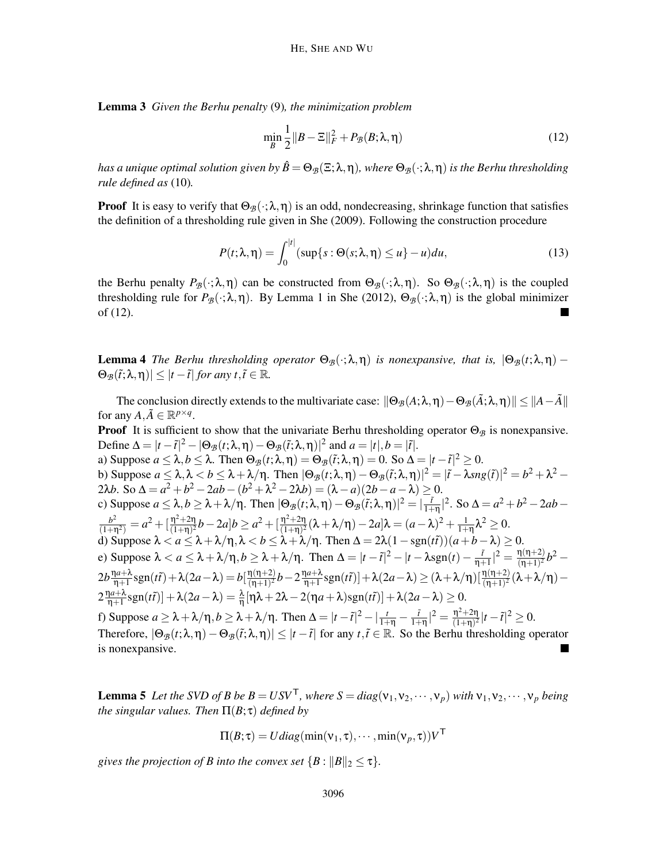Lemma 3 *Given the Berhu penalty* (9)*, the minimization problem*

$$
\min_{B} \frac{1}{2} \|B - \Xi\|_F^2 + P_{\mathcal{B}}(B; \lambda, \eta) \tag{12}
$$

*has a unique optimal solution given by*  $\hat{B} = \Theta_{\mathcal{B}}(\Xi; \lambda, \eta)$ *, where*  $\Theta_{\mathcal{B}}(\cdot; \lambda, \eta)$  *is the Berhu thresholding rule defined as* (10)*.*

**Proof** It is easy to verify that  $\Theta_{\mathcal{B}}(\cdot;\lambda,\eta)$  is an odd, nondecreasing, shrinkage function that satisfies the definition of a thresholding rule given in She (2009). Following the construction procedure

$$
P(t; \lambda, \eta) = \int_0^{|t|} (\sup\{s : \Theta(s; \lambda, \eta) \le u\} - u) du,
$$
 (13)

the Berhu penalty  $P_{\mathcal{B}}(\cdot;\lambda,\eta)$  can be constructed from  $\Theta_{\mathcal{B}}(\cdot;\lambda,\eta)$ . So  $\Theta_{\mathcal{B}}(\cdot;\lambda,\eta)$  is the coupled thresholding rule for  $P_{\mathcal{B}}(\cdot;\lambda,\eta)$ . By Lemma 1 in She (2012),  $\Theta_{\mathcal{B}}(\cdot;\lambda,\eta)$  is the global minimizer of (12).

**Lemma 4** *The Berhu thresholding operator*  $\Theta_{\mathcal{B}}(\cdot;\lambda,\eta)$  *is nonexpansive, that is,*  $|\Theta_{\mathcal{B}}(t;\lambda,\eta) |\Theta_{\mathcal{B}}(\tilde{t}; \lambda, \eta)| \leq |t - \tilde{t}|$  *for any t*,  $\tilde{t} \in \mathbb{R}$ *.* 

The conclusion directly extends to the multivariate case:  $\|\Theta_{\mathcal{B}}(A;\lambda,\eta)-\Theta_{\mathcal{B}}(\tilde{A};\lambda,\eta)\|\leq \|A-\tilde{A}\|$ for any  $A, \tilde{A} \in \mathbb{R}^{p \times q}$ .

**Proof** It is sufficient to show that the univariate Berhu thresholding operator  $\Theta_{\beta}$  is nonexpansive. Define  $\Delta = |t - \tilde{t}|^2 - |\Theta_{\mathcal{B}}(t; \lambda, \eta) - \Theta_{\mathcal{B}}(\tilde{t}; \lambda, \eta)|^2$  and  $a = |t|, b = |\tilde{t}|$ . a) Suppose  $a \le \lambda, b \le \lambda$ . Then  $\Theta_{\mathcal{B}}(t; \lambda, \eta) = \Theta_{\mathcal{B}}(\tilde{t}; \lambda, \eta) = 0$ . So  $\Delta = |t - \tilde{t}|^2 \ge 0$ . b) Suppose  $a \leq \lambda, \lambda < b \leq \lambda + \lambda/\eta$ . Then  $|\Theta_{\mathcal{B}}(t;\lambda,\eta) - \Theta_{\mathcal{B}}(\tilde{t};\lambda,\eta)|^2 = |\tilde{t} - \lambda sng(\tilde{t})|^2 = b^2 + \lambda^2 - \frac{1}{2}b^2 + \lambda^2$ 2λ*b*. So  $\Delta = a^2 + b^2 - 2ab - (b^2 + \lambda^2 - 2\lambda b) = (\lambda - a)(2b - a - \lambda) \ge 0.$ c) Suppose  $a \le \lambda, b \ge \lambda + \lambda/\eta$ . Then  $|\Theta_{\mathcal{B}}(t;\lambda,\eta) - \Theta_{\mathcal{B}}(\tilde{t};\lambda,\eta)|^2 = |\frac{\tilde{t}}{1+\eta}$  $\int_{1+\eta}^{1/2}$ . So  $\Delta = a^2 + b^2 - 2ab \frac{b^2}{(1+\eta^2)} = a^2 + \left[\frac{\eta^2+2\eta}{(1+\eta)^2}\right]$  $\frac{\eta^2 + 2\eta}{(1+\eta)^2}b - 2a\}b \geq a^2 + \left[\frac{\eta^2 + 2\eta}{(1+\eta)^2}\right]$  $\frac{\eta^2 + 2\eta}{(1+\eta)^2}(\lambda + \lambda/\eta) - 2a\lambda = (a - \lambda)^2 + \frac{1}{1+\eta}\lambda^2 \geq 0.$ d) Suppose  $\lambda < a \leq \lambda + \lambda/\eta$ ,  $\lambda < b \leq \lambda + \lambda/\eta$ . Then  $\Delta = 2\lambda(1 - \text{sgn}(t\tilde{t}))(a + b - \lambda) \geq 0$ . e) Suppose  $\lambda < a \leq \lambda + \lambda/\eta$ ,  $b \geq \lambda + \lambda/\eta$ . Then  $\Delta = |t - \tilde{t}|^2 - |t - \lambda \operatorname{sgn}(t) - \frac{\tilde{t}}{\eta + \tilde{t}}|$  $\frac{\tilde{t}}{\eta+1}|^2 = \frac{\eta(\eta+2)}{(\eta+1)^2}$  $\frac{\eta(\eta+2)}{(\eta+1)^2}b^2 2b \frac{\eta a + \lambda}{n+1}$  $\frac{\ln^{2}(\eta+1)}{\eta+1}$ sgn $(t\tilde{t})+\lambda(2a-\lambda)=b\left[\frac{\eta(\eta+2)}{(\eta+1)^2}\right]$  $\frac{\eta(\eta+2)}{(\eta+1)^2}b-2\frac{\eta a+\lambda}{\eta+1}$  $\frac{\ln(2+\lambda)}{\ln+1} \text{sgn}(t\tilde t)] + \lambda(2a-\lambda) \ge (\lambda + \lambda/\eta) [\frac{\eta(\eta+2)}{(\eta+1)^2}(\lambda + \lambda/\eta) - 1]$  $2\frac{\eta a + \lambda}{n+1}$  $\frac{d^{2}+1}{d+1}$ sgn(*tt*<sup>\*</sup>)] +  $\lambda(2a-\lambda) = \frac{\lambda}{\eta} [\eta \lambda + 2\lambda - 2(\eta a + \lambda)$ sgn(*tt*<sup>\*</sup>)] +  $\lambda(2a-\lambda) \ge 0$ . f) Suppose  $a \ge \lambda + \lambda/\eta$ ,  $b \ge \lambda + \lambda/\eta$ . Then  $\Delta = |t - \tilde{t}|^2 - |\frac{t}{1+\eta} - \frac{\tilde{t}}{1+\eta}|^2$  $\frac{\tilde{t}}{1+\eta}|^2 = \frac{\eta^2+2\eta}{(1+\eta)^2}$  $\frac{\eta^2 + 2\eta}{(1+\eta)^2} |t - \tilde{t}|^2 \ge 0.$ Therefore,  $|\Theta_B(t;\lambda,\eta)-\Theta_B(\tilde{t};\lambda,\eta)| \leq |t-\tilde{t}|$  for any  $t,\tilde{t} \in \mathbb{R}$ . So the Berhu thresholding operator

is nonexpansive.

**Lemma 5** Let the SVD of B be  $B = USV^T$ , where  $S = diag(v_1, v_2, \dots, v_p)$  with  $v_1, v_2, \dots, v_p$  being *the singular values. Then* Π(*B*; τ) *defined by*

$$
\Pi(B;\tau) = Udiag(\min(\mathbf{v}_1,\tau),\cdots,\min(\mathbf{v}_p,\tau))V^{\mathsf{T}}
$$

*gives the projection of B into the convex set*  ${B : ||B||_2 \leq \tau}.$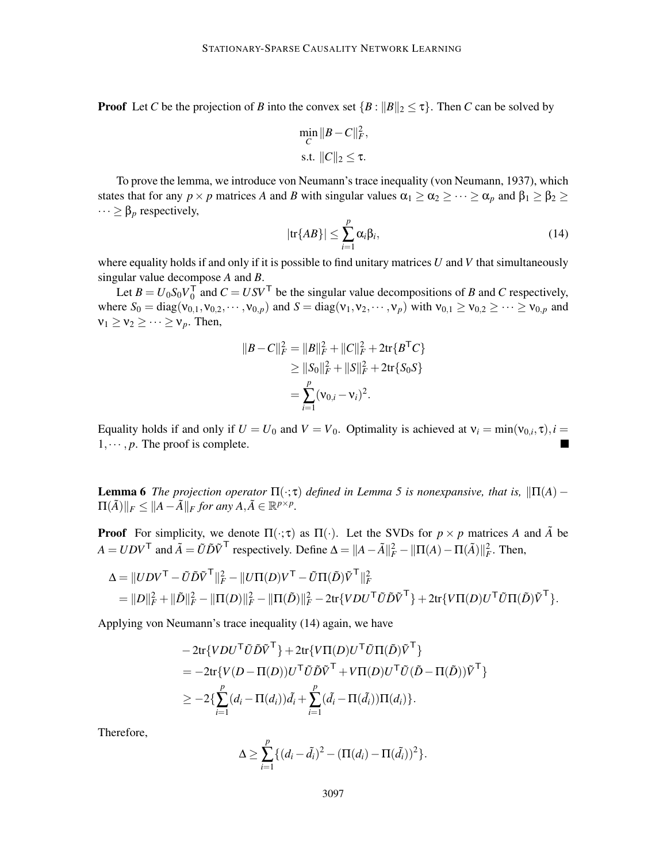**Proof** Let *C* be the projection of *B* into the convex set  ${B : ||B||_2 \leq \tau}$ . Then *C* can be solved by

$$
\min_{C} \|B - C\|_F^2,
$$
  
s.t.  $||C||_2 \le \tau.$ 

To prove the lemma, we introduce von Neumann's trace inequality (von Neumann, 1937), which states that for any  $p \times p$  matrices *A* and *B* with singular values  $\alpha_1 \geq \alpha_2 \geq \cdots \geq \alpha_p$  and  $\beta_1 \geq \beta_2 \geq$  $\cdots \geq \beta_p$  respectively,

$$
|\text{tr}\{AB\}| \le \sum_{i=1}^{p} \alpha_i \beta_i, \tag{14}
$$

where equality holds if and only if it is possible to find unitary matrices *U* and *V* that simultaneously singular value decompose *A* and *B*.

Let  $B = U_0 S_0 V_0^{\mathsf{T}}$  $\int_0^{\tau}$  and  $C = USV^{\top}$  be the singular value decompositions of *B* and *C* respectively, where  $S_0 = \text{diag}(v_{0,1}, v_{0,2}, \dots, v_{0,p})$  and  $S = \text{diag}(v_1, v_2, \dots, v_p)$  with  $v_{0,1} \ge v_{0,2} \ge \dots \ge v_{0,p}$  and  $v_1 \ge v_2 \ge \cdots \ge v_p$ . Then,

$$
||B - C||_F^2 = ||B||_F^2 + ||C||_F^2 + 2\text{tr}\{B^\mathsf{T}C\}
$$
  
\n
$$
\ge ||S_0||_F^2 + ||S||_F^2 + 2\text{tr}\{S_0S\}
$$
  
\n
$$
= \sum_{i=1}^p (v_{0,i} - v_i)^2.
$$

Equality holds if and only if  $U = U_0$  and  $V = V_0$ . Optimality is achieved at  $v_i = \min(v_{0,i}, \tau)$ ,  $i =$  $1, \dots, p$ . The proof is complete.

**Lemma 6** *The projection operator*  $\Pi(\cdot;\tau)$  *defined in Lemma 5 is nonexpansive, that is,*  $\|\Pi(A) \Pi(\tilde{A})\Vert_F \leq \Vert A - \tilde{A} \Vert_F$  for any  $A, \tilde{A} \in \mathbb{R}^{p \times p}$ .

**Proof** For simplicity, we denote  $\Pi(\cdot;\tau)$  as  $\Pi(\cdot)$ . Let the SVDs for  $p \times p$  matrices A and  $\tilde{A}$  be  $A = UDV^{\mathsf{T}}$  and  $\tilde{A} = \tilde{U}\tilde{D}\tilde{V}^{\mathsf{T}}$  respectively. Define  $\Delta = ||A - \tilde{A}||_F^2 - ||\Pi(A) - \Pi(\tilde{A})||_F^2$ . Then,

$$
\begin{aligned} \Delta &= \|UDV^\mathsf{T}-\tilde{U}\tilde{D}\tilde{V}^\mathsf{T}\|_F^2 - \|U\Pi(D)V^\mathsf{T}-\tilde{U}\Pi(\tilde{D})\tilde{V}^\mathsf{T}\|_F^2 \\ &= \|D\|_F^2 + \|\tilde{D}\|_F^2 - \|\Pi(D)\|_F^2 - \|\Pi(\tilde{D})\|_F^2 - 2\text{tr}\{VDU^\mathsf{T}\tilde{U}\tilde{D}\tilde{V}^\mathsf{T}\} + 2\text{tr}\{V\Pi(D)U^\mathsf{T}\tilde{U}\Pi(\tilde{D})\tilde{V}^\mathsf{T}\}. \end{aligned}
$$

Applying von Neumann's trace inequality (14) again, we have

$$
-2\text{tr}\{VDU^{\mathsf{T}}\tilde{U}\tilde{D}\tilde{V}^{\mathsf{T}}\}+2\text{tr}\{V\Pi(D)U^{\mathsf{T}}\tilde{U}\Pi(\tilde{D})\tilde{V}^{\mathsf{T}}\}
$$
  
=
$$
-2\text{tr}\{V(D-\Pi(D))U^{\mathsf{T}}\tilde{U}\tilde{D}\tilde{V}^{\mathsf{T}}+V\Pi(D)U^{\mathsf{T}}\tilde{U}(\tilde{D}-\Pi(\tilde{D}))\tilde{V}^{\mathsf{T}}\}
$$
  

$$
\geq -2\{\sum_{i=1}^{p}(d_i-\Pi(d_i))\tilde{d}_i+\sum_{i=1}^{p}(\tilde{d}_i-\Pi(\tilde{d}_i))\Pi(d_i)\}.
$$

Therefore,

$$
\Delta \geq \sum_{i=1}^p \{ (d_i - \tilde{d}_i)^2 - (\Pi(d_i) - \Pi(\tilde{d}_i))^2 \}.
$$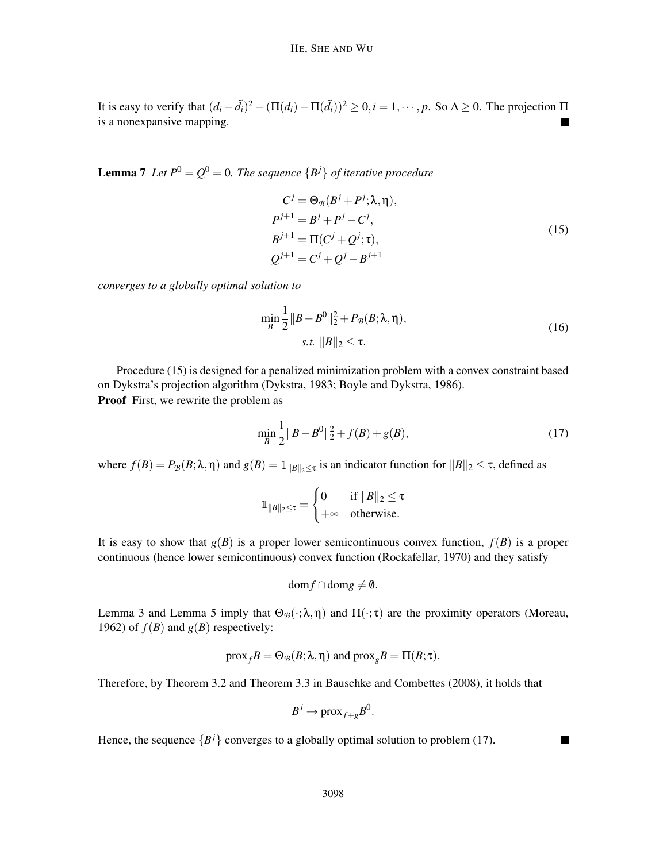It is easy to verify that  $(d_i - \tilde{d}_i)^2 - (\Pi(d_i) - \Pi(\tilde{d}_i))^2 \ge 0, i = 1, \dots, p$ . So  $\Delta \ge 0$ . The projection  $\Pi$ is a nonexpansive mapping.

**Lemma 7** Let  $P^0 = Q^0 = 0$ . The sequence  $\{B^j\}$  of iterative procedure

$$
C^{j} = \Theta_{\mathcal{B}}(B^{j} + P^{j}; \lambda, \eta),
$$
  
\n
$$
P^{j+1} = B^{j} + P^{j} - C^{j},
$$
  
\n
$$
B^{j+1} = \Pi(C^{j} + Q^{j}; \tau),
$$
  
\n
$$
Q^{j+1} = C^{j} + Q^{j} - B^{j+1}
$$
\n(15)

*converges to a globally optimal solution to*

$$
\min_{B} \frac{1}{2} ||B - B^{0}||_{2}^{2} + P_{\mathcal{B}}(B; \lambda, \eta),
$$
  
s.t.  $||B||_{2} \le \tau.$  (16)

Procedure (15) is designed for a penalized minimization problem with a convex constraint based on Dykstra's projection algorithm (Dykstra, 1983; Boyle and Dykstra, 1986). Proof First, we rewrite the problem as

$$
\min_{B} \frac{1}{2} \|B - B^0\|_2^2 + f(B) + g(B),\tag{17}
$$

where  $f(B) = P_B(B; \lambda, \eta)$  and  $g(B) = 1 \|B\|_2 \le \tau$  is an indicator function for  $\|B\|_2 \le \tau$ , defined as

$$
\mathbb{1}_{\|B\|_2 \leq \tau} = \begin{cases} 0 & \text{if } \|B\|_2 \leq \tau \\ +\infty & \text{otherwise.} \end{cases}
$$

It is easy to show that  $g(B)$  is a proper lower semicontinuous convex function,  $f(B)$  is a proper continuous (hence lower semicontinuous) convex function (Rockafellar, 1970) and they satisfy

 $dom f ∩ dom g ≠ 0$ .

Lemma 3 and Lemma 5 imply that  $\Theta_{\mathcal{B}}(\cdot;\lambda,\eta)$  and  $\Pi(\cdot;\tau)$  are the proximity operators (Moreau, 1962) of  $f(B)$  and  $g(B)$  respectively:

$$
\text{prox}_f B = \Theta_{\mathcal{B}}(B; \lambda, \eta)
$$
 and  $\text{prox}_g B = \Pi(B; \tau)$ .

Therefore, by Theorem 3.2 and Theorem 3.3 in Bauschke and Combettes (2008), it holds that

$$
B^j \to \text{prox}_{f+g} B^0.
$$

Hence, the sequence  ${B<sup>j</sup>}$  converges to a globally optimal solution to problem (17).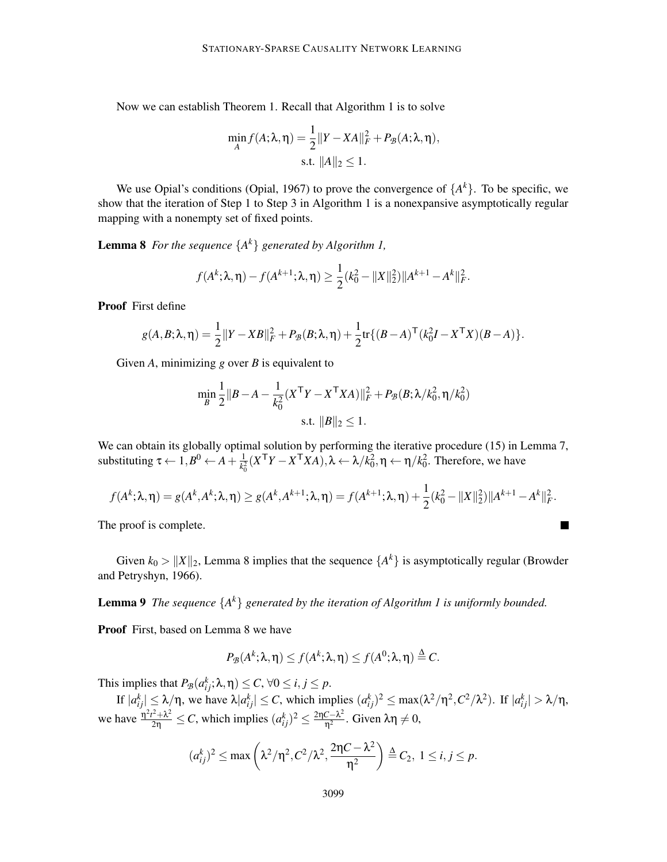Now we can establish Theorem 1. Recall that Algorithm 1 is to solve

$$
\min_{A} f(A; \lambda, \eta) = \frac{1}{2} ||Y - XA||_F^2 + P_{\mathcal{B}}(A; \lambda, \eta),
$$
  
s.t.  $||A||_2 \le 1$ .

We use Opial's conditions (Opial, 1967) to prove the convergence of  $\{A^k\}$ . To be specific, we show that the iteration of Step 1 to Step 3 in Algorithm 1 is a nonexpansive asymptotically regular mapping with a nonempty set of fixed points.

Lemma 8 *For the sequence* {*A k* } *generated by Algorithm 1,*

$$
f(A^k; \lambda, \eta) - f(A^{k+1}; \lambda, \eta) \ge \frac{1}{2} (k_0^2 - ||X||_2^2) ||A^{k+1} - A^k||_F^2.
$$

Proof First define

$$
g(A,B;\lambda,\eta) = \frac{1}{2} ||Y - XB||_F^2 + P_{\mathcal{B}}(B;\lambda,\eta) + \frac{1}{2} \text{tr}\{(B-A)^{\top} (k_0^2 I - X^{\top} X)(B-A)\}.
$$

Given *A*, minimizing *g* over *B* is equivalent to

$$
\min_{B} \frac{1}{2} ||B - A - \frac{1}{k_0^2} (X^{\mathsf{T}} Y - X^{\mathsf{T}} X A)||_F^2 + P_{\mathcal{B}}(B; \lambda / k_0^2, \eta / k_0^2)
$$
  
s.t.  $||B||_2 \le 1$ .

We can obtain its globally optimal solution by performing the iterative procedure (15) in Lemma 7, substituting  $\tau \leftarrow 1, B^0 \leftarrow A + \frac{1}{k_0^2}$  $\frac{1}{k_0^2}(X^{\mathsf{T}}Y - X^{\mathsf{T}}XA)$ ,λ ← λ/ $k_0^2$ , η ← η/*k*<sub>0</sub><sup>2</sup>. Therefore, we have

$$
f(A^k; \lambda, \eta) = g(A^k, A^k; \lambda, \eta) \ge g(A^k, A^{k+1}; \lambda, \eta) = f(A^{k+1}; \lambda, \eta) + \frac{1}{2}(k_0^2 - ||X||_2^2) ||A^{k+1} - A^k||_F^2.
$$

 $\blacksquare$ 

The proof is complete.

Given  $k_0 > ||X||_2$ , Lemma 8 implies that the sequence  $\{A^k\}$  is asymptotically regular (Browder and Petryshyn, 1966).

Lemma 9 *The sequence* {*A k* } *generated by the iteration of Algorithm 1 is uniformly bounded.*

Proof First, based on Lemma 8 we have

$$
P_{\mathcal{B}}(A^k; \lambda, \eta) \le f(A^k; \lambda, \eta) \le f(A^0; \lambda, \eta) \stackrel{\Delta}{=} C.
$$

This implies that  $P_{\mathcal{B}}(a_{ij}^k; \lambda, \eta) \le C$ ,  $\forall 0 \le i, j \le p$ .

If  $|a_{ij}^k| \leq \lambda/\eta$ , we have  $\lambda |a_{ij}^k| \leq C$ , which implies  $(a_{ij}^k)^2 \leq \max(\lambda^2/\eta^2, C^2/\lambda^2)$ . If  $|a_{ij}^k| > \lambda/\eta$ , we have  $\frac{\eta^2 t^2 + \lambda^2}{2\eta} \le C$ , which implies  $(a_{ij}^k)^2 \le \frac{2\eta C - \lambda^2}{\eta^2}$  $rac{\varepsilon - \lambda^2}{\eta^2}$ . Given  $\lambda \eta \neq 0$ ,

$$
(a_{ij}^k)^2 \le \max\left(\lambda^2/\eta^2, C^2/\lambda^2, \frac{2\eta C - \lambda^2}{\eta^2}\right) \stackrel{\Delta}{=} C_2, 1 \le i, j \le p.
$$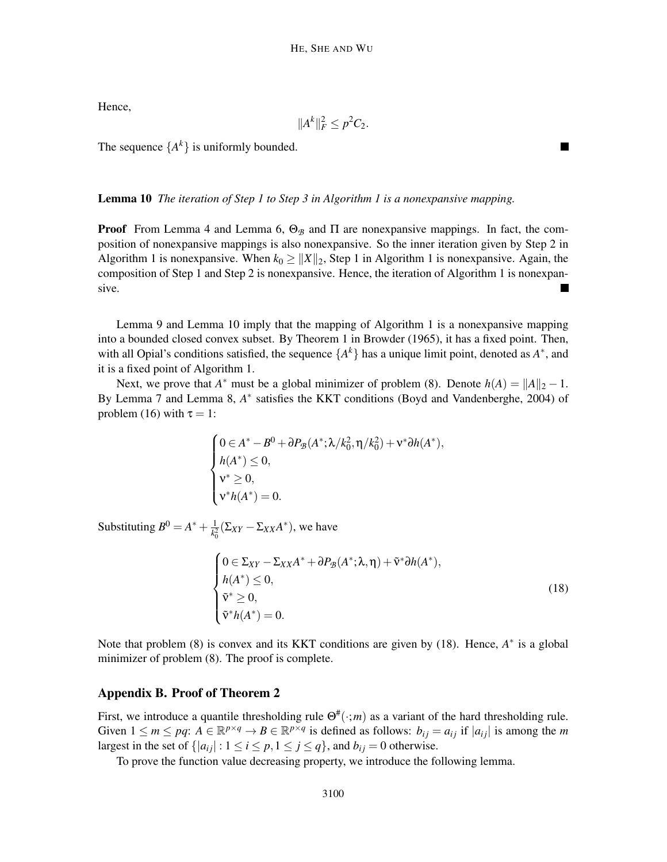Hence,

$$
||A^k||_F^2 \leq p^2C_2.
$$

The sequence  $\{A^k\}$  is uniformly bounded.

## Lemma 10 *The iteration of Step 1 to Step 3 in Algorithm 1 is a nonexpansive mapping.*

**Proof** From Lemma 4 and Lemma 6,  $\Theta_B$  and  $\Pi$  are nonexpansive mappings. In fact, the composition of nonexpansive mappings is also nonexpansive. So the inner iteration given by Step 2 in Algorithm 1 is nonexpansive. When  $k_0 \ge ||X||_2$ , Step 1 in Algorithm 1 is nonexpansive. Again, the composition of Step 1 and Step 2 is nonexpansive. Hence, the iteration of Algorithm 1 is nonexpansive.

Lemma 9 and Lemma 10 imply that the mapping of Algorithm 1 is a nonexpansive mapping into a bounded closed convex subset. By Theorem 1 in Browder (1965), it has a fixed point. Then, with all Opial's conditions satisfied, the sequence  $\{A^k\}$  has a unique limit point, denoted as  $A^*$ , and it is a fixed point of Algorithm 1.

Next, we prove that  $A^*$  must be a global minimizer of problem (8). Denote  $h(A) = ||A||_2 - 1$ . By Lemma 7 and Lemma 8, A<sup>\*</sup> satisfies the KKT conditions (Boyd and Vandenberghe, 2004) of problem (16) with  $\tau = 1$ :

$$
\begin{cases} 0 \in A^* - B^0 + \partial P_{\mathcal{B}}(A^*; \lambda/k_0^2, \eta/k_0^2) + v^* \partial h(A^*), \\ h(A^*) \le 0, \\ v^* \ge 0, \\ v^* h(A^*) = 0. \end{cases}
$$

Substituting  $B^0 = A^* + \frac{1}{b^2}$  $\frac{1}{k_0^2}(\Sigma_{XY}-\Sigma_{XX}A^*)$ , we have

$$
\begin{cases}\n0 \in \Sigma_{XY} - \Sigma_{XX}A^* + \partial P_{\mathcal{B}}(A^*; \lambda, \eta) + \tilde{\mathbf{v}}^* \partial h(A^*), \\
h(A^*) \le 0, \\
\tilde{\mathbf{v}}^* \ge 0, \\
\tilde{\mathbf{v}}^* h(A^*) = 0.\n\end{cases} \tag{18}
$$

Note that problem (8) is convex and its KKT conditions are given by (18). Hence, A<sup>\*</sup> is a global minimizer of problem (8). The proof is complete.

### Appendix B. Proof of Theorem 2

First, we introduce a quantile thresholding rule  $\Theta^{\#}(\cdot;m)$  as a variant of the hard thresholding rule. Given  $1 \le m \le pq$ :  $A \in \mathbb{R}^{p \times q} \to B \in \mathbb{R}^{p \times q}$  is defined as follows:  $b_{ij} = a_{ij}$  if  $|a_{ij}|$  is among the *m* largest in the set of  $\{|a_{ij}| : 1 \le i \le p, 1 \le j \le q\}$ , and  $b_{ij} = 0$  otherwise.

To prove the function value decreasing property, we introduce the following lemma.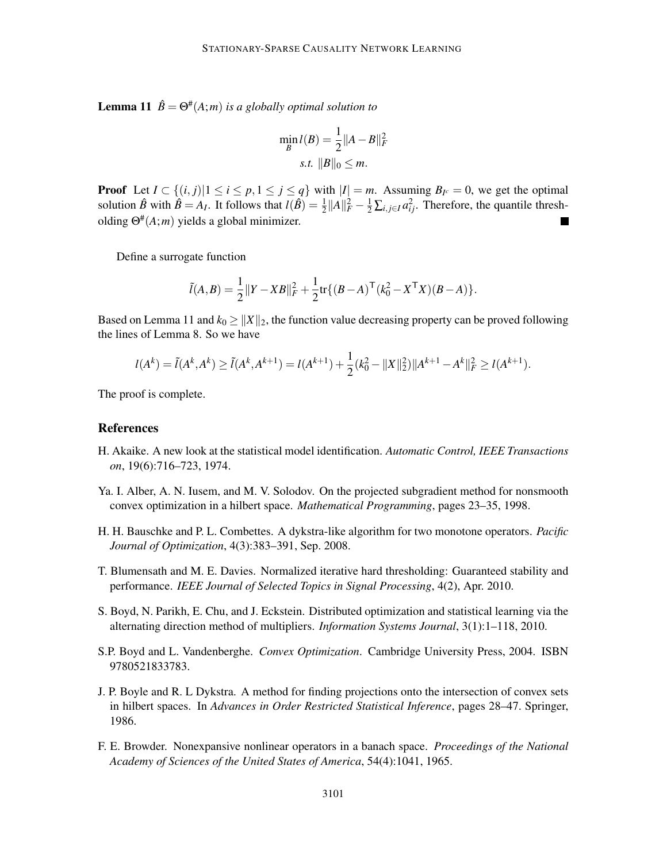**Lemma 11**  $\hat{B} = \Theta^{\#}(A; m)$  *is a globally optimal solution to* 

$$
\min_{B} l(B) = \frac{1}{2} ||A - B||_{F}^{2}
$$
  
s.t.  $||B||_{0} \le m$ .

**Proof** Let  $I \subset \{(i, j) | 1 \le i \le p, 1 \le j \le q\}$  with  $|I| = m$ . Assuming  $B_{I^c} = 0$ , we get the optimal solution  $\hat{B}$  with  $\hat{B} = A_I$ . It follows that  $l(\hat{B}) = \frac{1}{2} ||A||_F^2 - \frac{1}{2} \sum_{i,j \in I} a_{ij}^2$ . Therefore, the quantile thresholding Θ# (*A*;*m*) yields a global minimizer.

Define a surrogate function

$$
\tilde{l}(A,B) = \frac{1}{2} ||Y - XB||_F^2 + \frac{1}{2} tr\{ (B-A)^{\mathsf{T}} (k_0^2 - X^{\mathsf{T}} X)(B-A) \}.
$$

Based on Lemma 11 and  $k_0 \ge ||X||_2$ , the function value decreasing property can be proved following the lines of Lemma 8. So we have

$$
l(A^{k}) = \tilde{l}(A^{k}, A^{k}) \ge \tilde{l}(A^{k}, A^{k+1}) = l(A^{k+1}) + \frac{1}{2}(k_{0}^{2} - ||X||_{2}^{2})||A^{k+1} - A^{k}||_{F}^{2} \ge l(A^{k+1}).
$$

The proof is complete.

## References

- H. Akaike. A new look at the statistical model identification. *Automatic Control, IEEE Transactions on*, 19(6):716–723, 1974.
- Ya. I. Alber, A. N. Iusem, and M. V. Solodov. On the projected subgradient method for nonsmooth convex optimization in a hilbert space. *Mathematical Programming*, pages 23–35, 1998.
- H. H. Bauschke and P. L. Combettes. A dykstra-like algorithm for two monotone operators. *Pacific Journal of Optimization*, 4(3):383–391, Sep. 2008.
- T. Blumensath and M. E. Davies. Normalized iterative hard thresholding: Guaranteed stability and performance. *IEEE Journal of Selected Topics in Signal Processing*, 4(2), Apr. 2010.
- S. Boyd, N. Parikh, E. Chu, and J. Eckstein. Distributed optimization and statistical learning via the alternating direction method of multipliers. *Information Systems Journal*, 3(1):1–118, 2010.
- S.P. Boyd and L. Vandenberghe. *Convex Optimization*. Cambridge University Press, 2004. ISBN 9780521833783.
- J. P. Boyle and R. L Dykstra. A method for finding projections onto the intersection of convex sets in hilbert spaces. In *Advances in Order Restricted Statistical Inference*, pages 28–47. Springer, 1986.
- F. E. Browder. Nonexpansive nonlinear operators in a banach space. *Proceedings of the National Academy of Sciences of the United States of America*, 54(4):1041, 1965.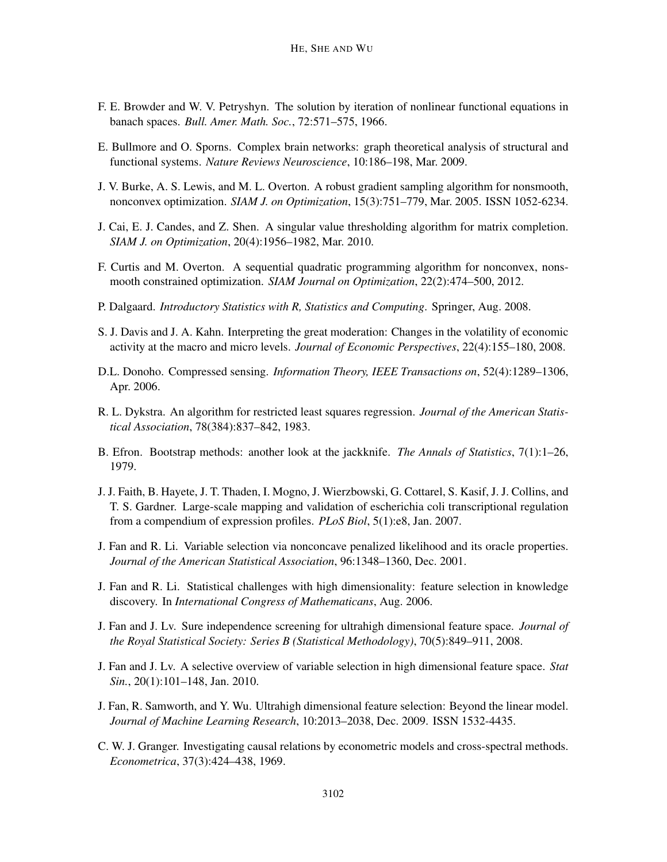- F. E. Browder and W. V. Petryshyn. The solution by iteration of nonlinear functional equations in banach spaces. *Bull. Amer. Math. Soc.*, 72:571–575, 1966.
- E. Bullmore and O. Sporns. Complex brain networks: graph theoretical analysis of structural and functional systems. *Nature Reviews Neuroscience*, 10:186–198, Mar. 2009.
- J. V. Burke, A. S. Lewis, and M. L. Overton. A robust gradient sampling algorithm for nonsmooth, nonconvex optimization. *SIAM J. on Optimization*, 15(3):751–779, Mar. 2005. ISSN 1052-6234.
- J. Cai, E. J. Candes, and Z. Shen. A singular value thresholding algorithm for matrix completion. *SIAM J. on Optimization*, 20(4):1956–1982, Mar. 2010.
- F. Curtis and M. Overton. A sequential quadratic programming algorithm for nonconvex, nonsmooth constrained optimization. *SIAM Journal on Optimization*, 22(2):474–500, 2012.
- P. Dalgaard. *Introductory Statistics with R, Statistics and Computing*. Springer, Aug. 2008.
- S. J. Davis and J. A. Kahn. Interpreting the great moderation: Changes in the volatility of economic activity at the macro and micro levels. *Journal of Economic Perspectives*, 22(4):155–180, 2008.
- D.L. Donoho. Compressed sensing. *Information Theory, IEEE Transactions on*, 52(4):1289–1306, Apr. 2006.
- R. L. Dykstra. An algorithm for restricted least squares regression. *Journal of the American Statistical Association*, 78(384):837–842, 1983.
- B. Efron. Bootstrap methods: another look at the jackknife. *The Annals of Statistics*, 7(1):1–26, 1979.
- J. J. Faith, B. Hayete, J. T. Thaden, I. Mogno, J. Wierzbowski, G. Cottarel, S. Kasif, J. J. Collins, and T. S. Gardner. Large-scale mapping and validation of escherichia coli transcriptional regulation from a compendium of expression profiles. *PLoS Biol*, 5(1):e8, Jan. 2007.
- J. Fan and R. Li. Variable selection via nonconcave penalized likelihood and its oracle properties. *Journal of the American Statistical Association*, 96:1348–1360, Dec. 2001.
- J. Fan and R. Li. Statistical challenges with high dimensionality: feature selection in knowledge discovery. In *International Congress of Mathematicans*, Aug. 2006.
- J. Fan and J. Lv. Sure independence screening for ultrahigh dimensional feature space. *Journal of the Royal Statistical Society: Series B (Statistical Methodology)*, 70(5):849–911, 2008.
- J. Fan and J. Lv. A selective overview of variable selection in high dimensional feature space. *Stat Sin.*, 20(1):101–148, Jan. 2010.
- J. Fan, R. Samworth, and Y. Wu. Ultrahigh dimensional feature selection: Beyond the linear model. *Journal of Machine Learning Research*, 10:2013–2038, Dec. 2009. ISSN 1532-4435.
- C. W. J. Granger. Investigating causal relations by econometric models and cross-spectral methods. *Econometrica*, 37(3):424–438, 1969.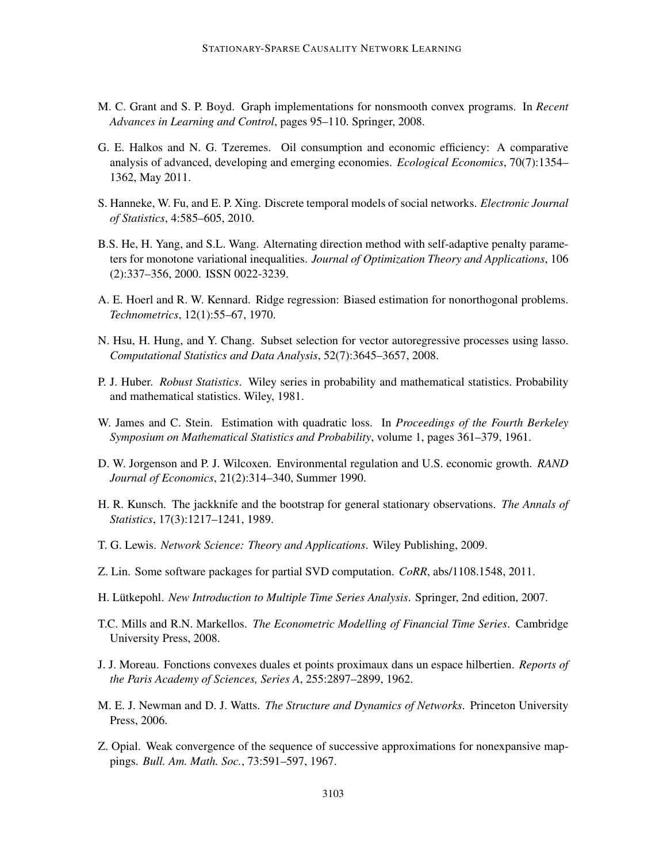- M. C. Grant and S. P. Boyd. Graph implementations for nonsmooth convex programs. In *Recent Advances in Learning and Control*, pages 95–110. Springer, 2008.
- G. E. Halkos and N. G. Tzeremes. Oil consumption and economic efficiency: A comparative analysis of advanced, developing and emerging economies. *Ecological Economics*, 70(7):1354– 1362, May 2011.
- S. Hanneke, W. Fu, and E. P. Xing. Discrete temporal models of social networks. *Electronic Journal of Statistics*, 4:585–605, 2010.
- B.S. He, H. Yang, and S.L. Wang. Alternating direction method with self-adaptive penalty parameters for monotone variational inequalities. *Journal of Optimization Theory and Applications*, 106 (2):337–356, 2000. ISSN 0022-3239.
- A. E. Hoerl and R. W. Kennard. Ridge regression: Biased estimation for nonorthogonal problems. *Technometrics*, 12(1):55–67, 1970.
- N. Hsu, H. Hung, and Y. Chang. Subset selection for vector autoregressive processes using lasso. *Computational Statistics and Data Analysis*, 52(7):3645–3657, 2008.
- P. J. Huber. *Robust Statistics*. Wiley series in probability and mathematical statistics. Probability and mathematical statistics. Wiley, 1981.
- W. James and C. Stein. Estimation with quadratic loss. In *Proceedings of the Fourth Berkeley Symposium on Mathematical Statistics and Probability*, volume 1, pages 361–379, 1961.
- D. W. Jorgenson and P. J. Wilcoxen. Environmental regulation and U.S. economic growth. *RAND Journal of Economics*, 21(2):314–340, Summer 1990.
- H. R. Kunsch. The jackknife and the bootstrap for general stationary observations. *The Annals of Statistics*, 17(3):1217–1241, 1989.
- T. G. Lewis. *Network Science: Theory and Applications*. Wiley Publishing, 2009.
- Z. Lin. Some software packages for partial SVD computation. *CoRR*, abs/1108.1548, 2011.
- H. Lütkepohl. New Introduction to Multiple Time Series Analysis. Springer, 2nd edition, 2007.
- T.C. Mills and R.N. Markellos. *The Econometric Modelling of Financial Time Series*. Cambridge University Press, 2008.
- J. J. Moreau. Fonctions convexes duales et points proximaux dans un espace hilbertien. *Reports of the Paris Academy of Sciences, Series A*, 255:2897–2899, 1962.
- M. E. J. Newman and D. J. Watts. *The Structure and Dynamics of Networks*. Princeton University Press, 2006.
- Z. Opial. Weak convergence of the sequence of successive approximations for nonexpansive mappings. *Bull. Am. Math. Soc.*, 73:591–597, 1967.